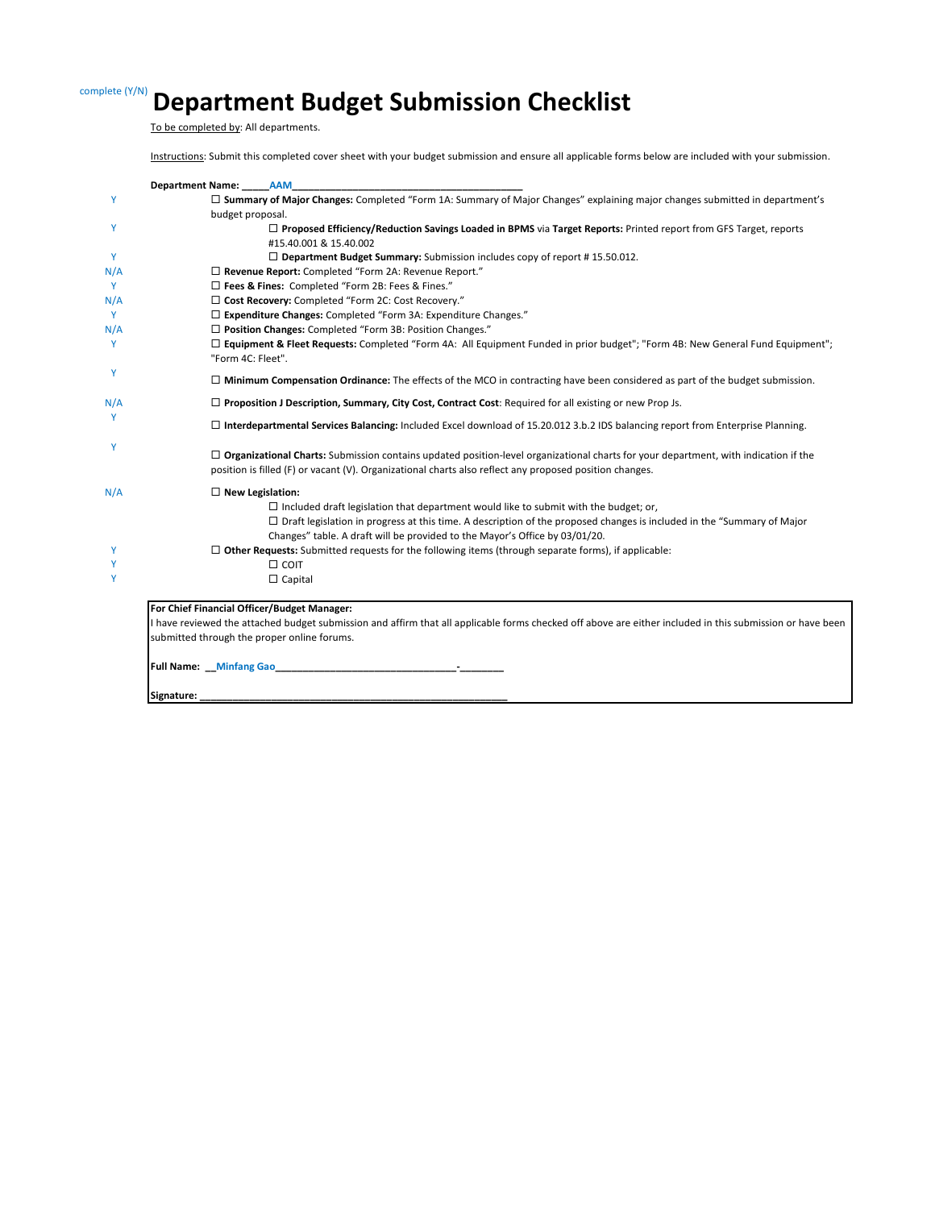# complete (Y/N) **Department Budget Submission Checklist**

To be completed by: All departments.

Instructions: Submit this completed cover sheet with your budget submission and ensure all applicable forms below are included with your submission.

|     | Department Name: AAM                                                                                                                                                                                                                                  |
|-----|-------------------------------------------------------------------------------------------------------------------------------------------------------------------------------------------------------------------------------------------------------|
| Y   | □ Summary of Major Changes: Completed "Form 1A: Summary of Major Changes" explaining major changes submitted in department's<br>budget proposal.                                                                                                      |
| Y   | □ Proposed Efficiency/Reduction Savings Loaded in BPMS via Target Reports: Printed report from GFS Target, reports<br>#15.40.001 & 15.40.002                                                                                                          |
| Y   | $\Box$ Department Budget Summary: Submission includes copy of report #15.50.012.                                                                                                                                                                      |
| N/A | □ Revenue Report: Completed "Form 2A: Revenue Report."                                                                                                                                                                                                |
| Y   | □ Fees & Fines: Completed "Form 2B: Fees & Fines."                                                                                                                                                                                                    |
| N/A | □ Cost Recovery: Completed "Form 2C: Cost Recovery."                                                                                                                                                                                                  |
| Y   | □ Expenditure Changes: Completed "Form 3A: Expenditure Changes."                                                                                                                                                                                      |
| N/A | □ Position Changes: Completed "Form 3B: Position Changes."                                                                                                                                                                                            |
| Y   | □ Equipment & Fleet Requests: Completed "Form 4A: All Equipment Funded in prior budget"; "Form 4B: New General Fund Equipment";<br>"Form 4C: Fleet".                                                                                                  |
| Y   | $\Box$ Minimum Compensation Ordinance: The effects of the MCO in contracting have been considered as part of the budget submission.                                                                                                                   |
| N/A | $\Box$ Proposition J Description, Summary, City Cost, Contract Cost: Required for all existing or new Prop Js.                                                                                                                                        |
| Y   | □ Interdepartmental Services Balancing: Included Excel download of 15.20.012 3.b.2 IDS balancing report from Enterprise Planning.                                                                                                                     |
| Y   | $\Box$ Organizational Charts: Submission contains updated position-level organizational charts for your department, with indication if the<br>position is filled (F) or vacant (V). Organizational charts also reflect any proposed position changes. |
| N/A | $\Box$ New Legislation:                                                                                                                                                                                                                               |
|     | $\Box$ Included draft legislation that department would like to submit with the budget; or,                                                                                                                                                           |
|     | $\Box$ Draft legislation in progress at this time. A description of the proposed changes is included in the "Summary of Major<br>Changes" table. A draft will be provided to the Mayor's Office by 03/01/20.                                          |
| Y   | $\Box$ Other Requests: Submitted requests for the following items (through separate forms), if applicable:                                                                                                                                            |
| Υ   | $\Box$ COIT                                                                                                                                                                                                                                           |
| Y   | $\Box$ Capital                                                                                                                                                                                                                                        |
|     | For Chief Financial Officer/Budget Manager:                                                                                                                                                                                                           |
|     | I have reviewed the attached budget submission and affirm that all applicable forms checked off above are either included in this submission or have been                                                                                             |
|     | submitted through the proper online forums.                                                                                                                                                                                                           |
|     | Full Name: Minfang Gao <b>Martin American Structure Control Control Control Control Control Control Control Control Control Control Control Control Control Control Control Control Control Control Control Control Control Cont</b><br>$\sim$ $-$    |
|     | Signature:                                                                                                                                                                                                                                            |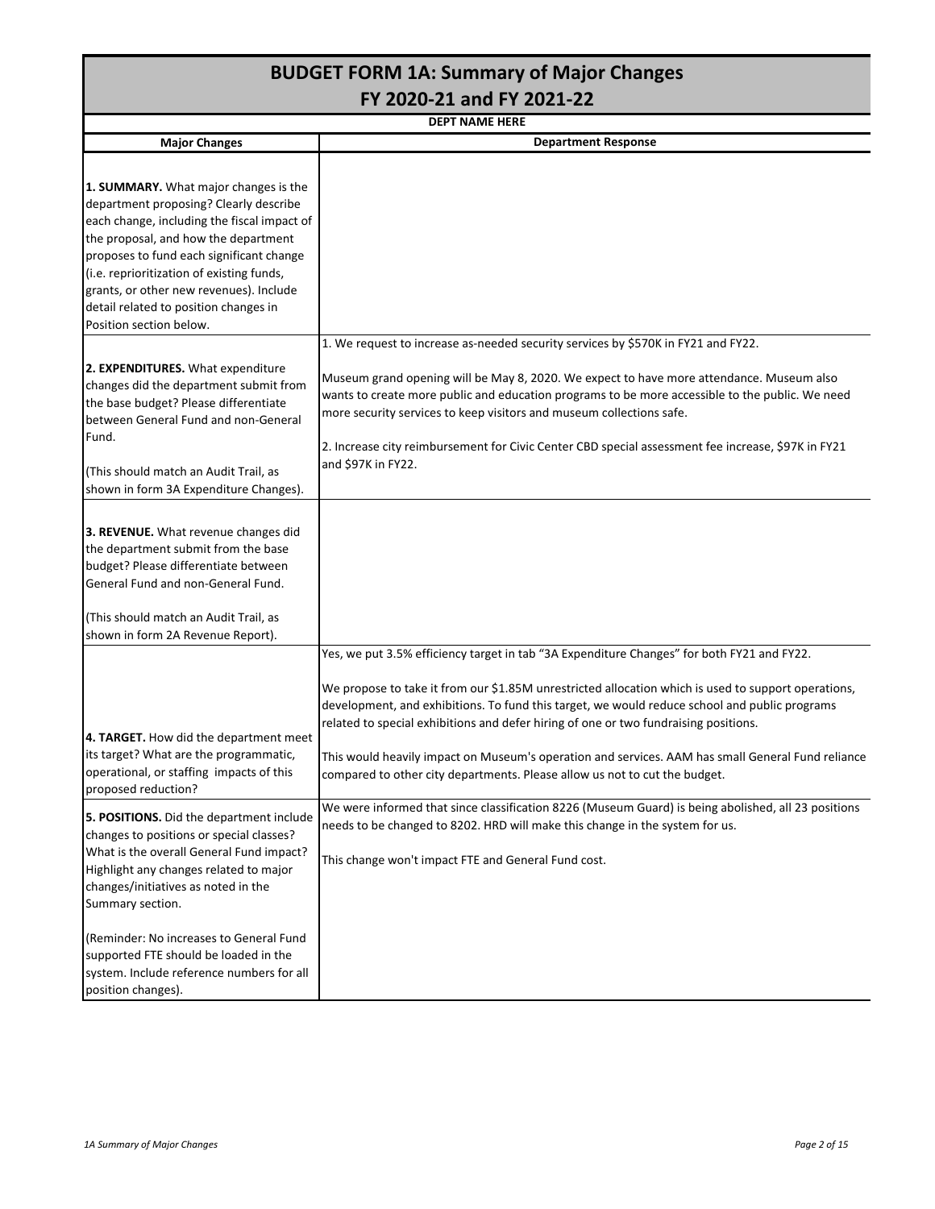|                                                                                                                                                                                                                                                                                                                                                                                | <b>BUDGET FORM 1A: Summary of Major Changes</b>                                                                                                                                                                                                                                                                                                                                                                                                                                                                                                                                                                                                                                                                                                                      |  |  |  |  |  |  |  |  |  |  |
|--------------------------------------------------------------------------------------------------------------------------------------------------------------------------------------------------------------------------------------------------------------------------------------------------------------------------------------------------------------------------------|----------------------------------------------------------------------------------------------------------------------------------------------------------------------------------------------------------------------------------------------------------------------------------------------------------------------------------------------------------------------------------------------------------------------------------------------------------------------------------------------------------------------------------------------------------------------------------------------------------------------------------------------------------------------------------------------------------------------------------------------------------------------|--|--|--|--|--|--|--|--|--|--|
| FY 2020-21 and FY 2021-22<br><b>DEPT NAME HERE</b>                                                                                                                                                                                                                                                                                                                             |                                                                                                                                                                                                                                                                                                                                                                                                                                                                                                                                                                                                                                                                                                                                                                      |  |  |  |  |  |  |  |  |  |  |
|                                                                                                                                                                                                                                                                                                                                                                                |                                                                                                                                                                                                                                                                                                                                                                                                                                                                                                                                                                                                                                                                                                                                                                      |  |  |  |  |  |  |  |  |  |  |
| <b>Major Changes</b>                                                                                                                                                                                                                                                                                                                                                           | <b>Department Response</b>                                                                                                                                                                                                                                                                                                                                                                                                                                                                                                                                                                                                                                                                                                                                           |  |  |  |  |  |  |  |  |  |  |
| 1. SUMMARY. What major changes is the<br>department proposing? Clearly describe<br>each change, including the fiscal impact of<br>the proposal, and how the department<br>proposes to fund each significant change<br>(i.e. reprioritization of existing funds,<br>grants, or other new revenues). Include<br>detail related to position changes in<br>Position section below. |                                                                                                                                                                                                                                                                                                                                                                                                                                                                                                                                                                                                                                                                                                                                                                      |  |  |  |  |  |  |  |  |  |  |
| 2. EXPENDITURES. What expenditure<br>changes did the department submit from<br>the base budget? Please differentiate<br>between General Fund and non-General<br>Fund.<br>(This should match an Audit Trail, as<br>shown in form 3A Expenditure Changes).                                                                                                                       | 1. We request to increase as-needed security services by \$570K in FY21 and FY22.<br>Museum grand opening will be May 8, 2020. We expect to have more attendance. Museum also<br>wants to create more public and education programs to be more accessible to the public. We need<br>more security services to keep visitors and museum collections safe.<br>2. Increase city reimbursement for Civic Center CBD special assessment fee increase, \$97K in FY21<br>and \$97K in FY22.                                                                                                                                                                                                                                                                                 |  |  |  |  |  |  |  |  |  |  |
| 3. REVENUE. What revenue changes did<br>the department submit from the base<br>budget? Please differentiate between<br>General Fund and non-General Fund.<br>(This should match an Audit Trail, as<br>shown in form 2A Revenue Report).                                                                                                                                        |                                                                                                                                                                                                                                                                                                                                                                                                                                                                                                                                                                                                                                                                                                                                                                      |  |  |  |  |  |  |  |  |  |  |
| 4. TARGET. How did the department meet<br>its target? What are the programmatic,<br>operational, or staffing impacts of this<br>proposed reduction?<br>5. POSITIONS. Did the department include<br>changes to positions or special classes?<br>What is the overall General Fund impact?                                                                                        | Yes, we put 3.5% efficiency target in tab "3A Expenditure Changes" for both FY21 and FY22.<br>We propose to take it from our \$1.85M unrestricted allocation which is used to support operations,<br>development, and exhibitions. To fund this target, we would reduce school and public programs<br>related to special exhibitions and defer hiring of one or two fundraising positions.<br>This would heavily impact on Museum's operation and services. AAM has small General Fund reliance<br>compared to other city departments. Please allow us not to cut the budget.<br>We were informed that since classification 8226 (Museum Guard) is being abolished, all 23 positions<br>needs to be changed to 8202. HRD will make this change in the system for us. |  |  |  |  |  |  |  |  |  |  |
| Highlight any changes related to major<br>changes/initiatives as noted in the<br>Summary section.<br>(Reminder: No increases to General Fund<br>supported FTE should be loaded in the<br>system. Include reference numbers for all<br>position changes).                                                                                                                       | This change won't impact FTE and General Fund cost.                                                                                                                                                                                                                                                                                                                                                                                                                                                                                                                                                                                                                                                                                                                  |  |  |  |  |  |  |  |  |  |  |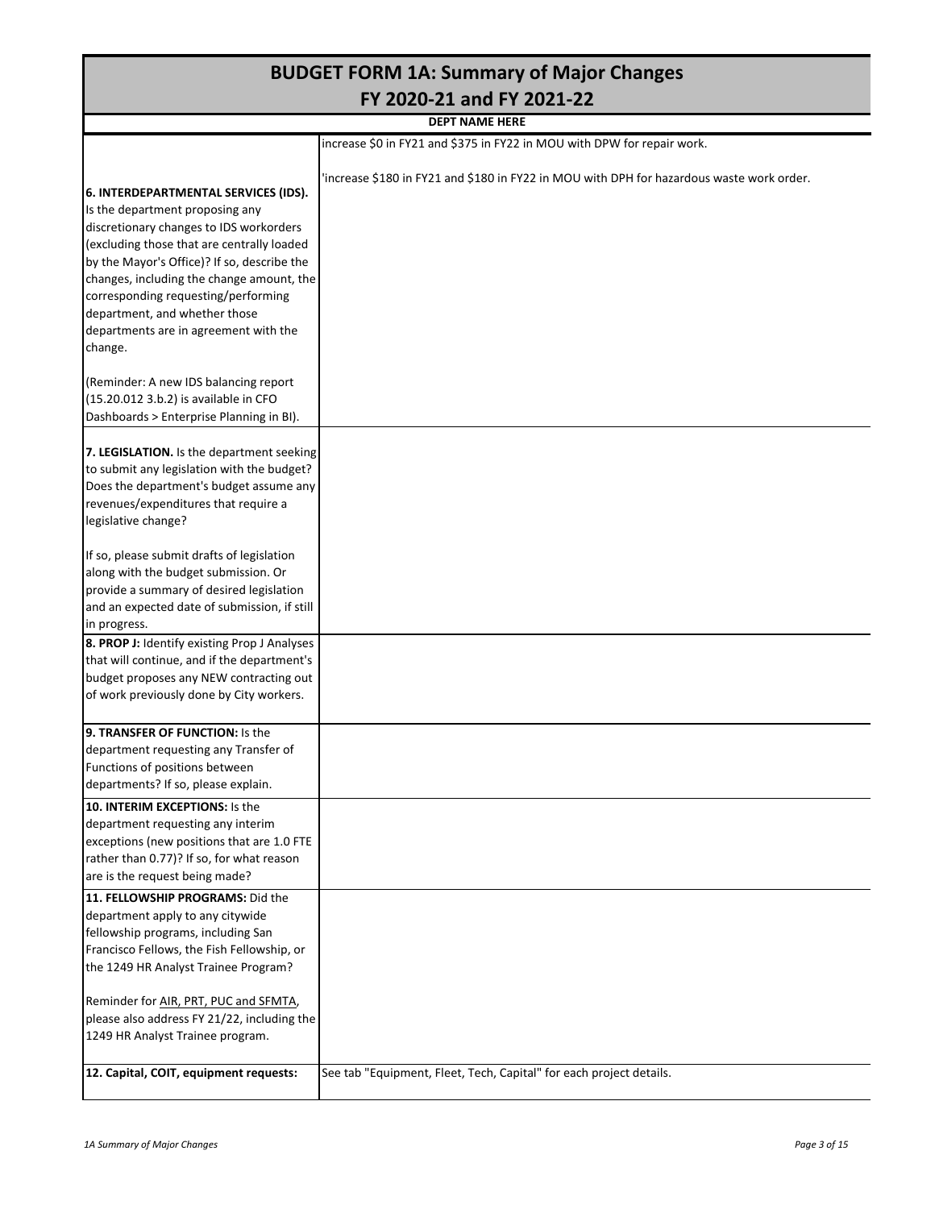|                                                                                                                                                                                                                                                                                                                                                                                          | <b>BUDGET FORM 1A: Summary of Major Changes</b>                                           |  |  |  |  |  |  |  |  |  |
|------------------------------------------------------------------------------------------------------------------------------------------------------------------------------------------------------------------------------------------------------------------------------------------------------------------------------------------------------------------------------------------|-------------------------------------------------------------------------------------------|--|--|--|--|--|--|--|--|--|
| FY 2020-21 and FY 2021-22<br><b>DEPT NAME HERE</b>                                                                                                                                                                                                                                                                                                                                       |                                                                                           |  |  |  |  |  |  |  |  |  |
|                                                                                                                                                                                                                                                                                                                                                                                          |                                                                                           |  |  |  |  |  |  |  |  |  |
| increase \$0 in FY21 and \$375 in FY22 in MOU with DPW for repair work.                                                                                                                                                                                                                                                                                                                  |                                                                                           |  |  |  |  |  |  |  |  |  |
| 6. INTERDEPARTMENTAL SERVICES (IDS).<br>Is the department proposing any<br>discretionary changes to IDS workorders<br>(excluding those that are centrally loaded<br>by the Mayor's Office)? If so, describe the<br>changes, including the change amount, the<br>corresponding requesting/performing<br>department, and whether those<br>departments are in agreement with the<br>change. | 'increase \$180 in FY21 and \$180 in FY22 in MOU with DPH for hazardous waste work order. |  |  |  |  |  |  |  |  |  |
| (Reminder: A new IDS balancing report<br>(15.20.012 3.b.2) is available in CFO<br>Dashboards > Enterprise Planning in BI).                                                                                                                                                                                                                                                               |                                                                                           |  |  |  |  |  |  |  |  |  |
| 7. LEGISLATION. Is the department seeking<br>to submit any legislation with the budget?<br>Does the department's budget assume any<br>revenues/expenditures that require a<br>legislative change?                                                                                                                                                                                        |                                                                                           |  |  |  |  |  |  |  |  |  |
| If so, please submit drafts of legislation<br>along with the budget submission. Or<br>provide a summary of desired legislation<br>and an expected date of submission, if still<br>in progress.                                                                                                                                                                                           |                                                                                           |  |  |  |  |  |  |  |  |  |
| 8. PROP J: Identify existing Prop J Analyses<br>that will continue, and if the department's<br>budget proposes any NEW contracting out<br>of work previously done by City workers.                                                                                                                                                                                                       |                                                                                           |  |  |  |  |  |  |  |  |  |
| 9. TRANSFER OF FUNCTION: Is the<br>department requesting any Transfer of<br>Functions of positions between<br>departments? If so, please explain.                                                                                                                                                                                                                                        |                                                                                           |  |  |  |  |  |  |  |  |  |
| 10. INTERIM EXCEPTIONS: Is the<br>department requesting any interim<br>exceptions (new positions that are 1.0 FTE<br>rather than 0.77)? If so, for what reason<br>are is the request being made?                                                                                                                                                                                         |                                                                                           |  |  |  |  |  |  |  |  |  |
| 11. FELLOWSHIP PROGRAMS: Did the<br>department apply to any citywide<br>fellowship programs, including San<br>Francisco Fellows, the Fish Fellowship, or<br>the 1249 HR Analyst Trainee Program?                                                                                                                                                                                         |                                                                                           |  |  |  |  |  |  |  |  |  |
| Reminder for AIR, PRT, PUC and SFMTA,<br>please also address FY 21/22, including the<br>1249 HR Analyst Trainee program.                                                                                                                                                                                                                                                                 |                                                                                           |  |  |  |  |  |  |  |  |  |
| 12. Capital, COIT, equipment requests:                                                                                                                                                                                                                                                                                                                                                   | See tab "Equipment, Fleet, Tech, Capital" for each project details.                       |  |  |  |  |  |  |  |  |  |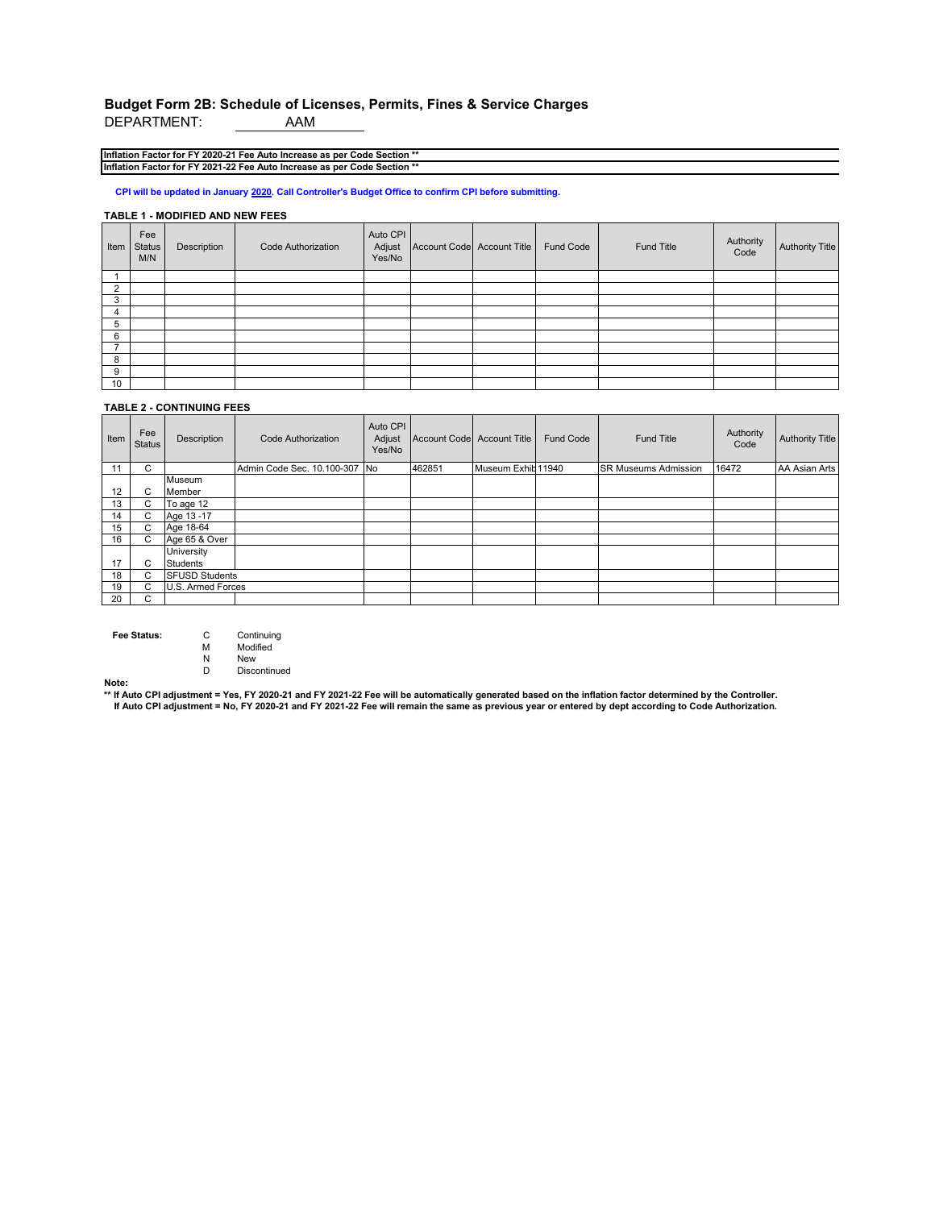# **Budget Form 2B: Schedule of Licenses, Permits, Fines & Service Charges**

DEPARTMENT:

**Inflation Factor for FY 2020-21 Fee Auto Increase as per Code Section \*\* Inflation Factor for FY 2021-22 Fee Auto Increase as per Code Section \*\***

**CPI will be updated in January 2020. Call Controller's Budget Office to confirm CPI before submitting.**

#### **TABLE 1 - MODIFIED AND NEW FEES**

| Item | Fee<br><b>Status</b><br>M/N | Description | <b>Code Authorization</b> | Auto CPI<br>Adjust<br>Yes/No | Account Code Account Title | Fund Code | Fund Title | Authority<br>Code | <b>Authority Title</b> |
|------|-----------------------------|-------------|---------------------------|------------------------------|----------------------------|-----------|------------|-------------------|------------------------|
|      |                             |             |                           |                              |                            |           |            |                   |                        |
| ◠    |                             |             |                           |                              |                            |           |            |                   |                        |
| 3    |                             |             |                           |                              |                            |           |            |                   |                        |
| 4    |                             |             |                           |                              |                            |           |            |                   |                        |
| 5    |                             |             |                           |                              |                            |           |            |                   |                        |
| 6    |                             |             |                           |                              |                            |           |            |                   |                        |
|      |                             |             |                           |                              |                            |           |            |                   |                        |
| 8    |                             |             |                           |                              |                            |           |            |                   |                        |
| 9    |                             |             |                           |                              |                            |           |            |                   |                        |
| 10   |                             |             |                           |                              |                            |           |            |                   |                        |

#### **TABLE 2 - CONTINUING FEES**

| Item | Fee<br><b>Status</b> | Description           | <b>Code Authorization</b>     | Auto CPI<br>Adjust<br>Yes/No | Account Code Account Title |                    | <b>Fund Code</b> | <b>Fund Title</b>           | Authority<br>Code | <b>Authority Title</b> |
|------|----------------------|-----------------------|-------------------------------|------------------------------|----------------------------|--------------------|------------------|-----------------------------|-------------------|------------------------|
| 11   | C.                   |                       | Admin Code Sec. 10.100-307 No |                              | 462851                     | Museum Exhib 11940 |                  | <b>SR Museums Admission</b> | 16472             | AA Asian Arts          |
|      |                      | Museum                |                               |                              |                            |                    |                  |                             |                   |                        |
| 12   | C.                   | Member                |                               |                              |                            |                    |                  |                             |                   |                        |
| 13   | C.                   | To age 12             |                               |                              |                            |                    |                  |                             |                   |                        |
| 14   | C.                   | Age 13-17             |                               |                              |                            |                    |                  |                             |                   |                        |
| 15   | C.                   | Age 18-64             |                               |                              |                            |                    |                  |                             |                   |                        |
| 16   | C.                   | Age 65 & Over         |                               |                              |                            |                    |                  |                             |                   |                        |
|      |                      | University            |                               |                              |                            |                    |                  |                             |                   |                        |
| 17   | C                    | <b>Students</b>       |                               |                              |                            |                    |                  |                             |                   |                        |
| 18   | C.                   | <b>SFUSD Students</b> |                               |                              |                            |                    |                  |                             |                   |                        |
| 19   | r.                   | U.S. Armed Forces     |                               |                              |                            |                    |                  |                             |                   |                        |
| 20   | C.                   |                       |                               |                              |                            |                    |                  |                             |                   |                        |

**Fee Status:** C Continuing<br>
M Modified

M Modified<br>N New

N New<br>D Disco Discontinued

**Note: \*\* If Auto CPI adjustment = Yes, FY 2020-21 and FY 2021-22 Fee will be automatically generated based on the inflation factor determined by the Controller. If Auto CPI adjustment = No, FY 2020-21 and FY 2021-22 Fee will remain the same as previous year or entered by dept according to Code Authorization.**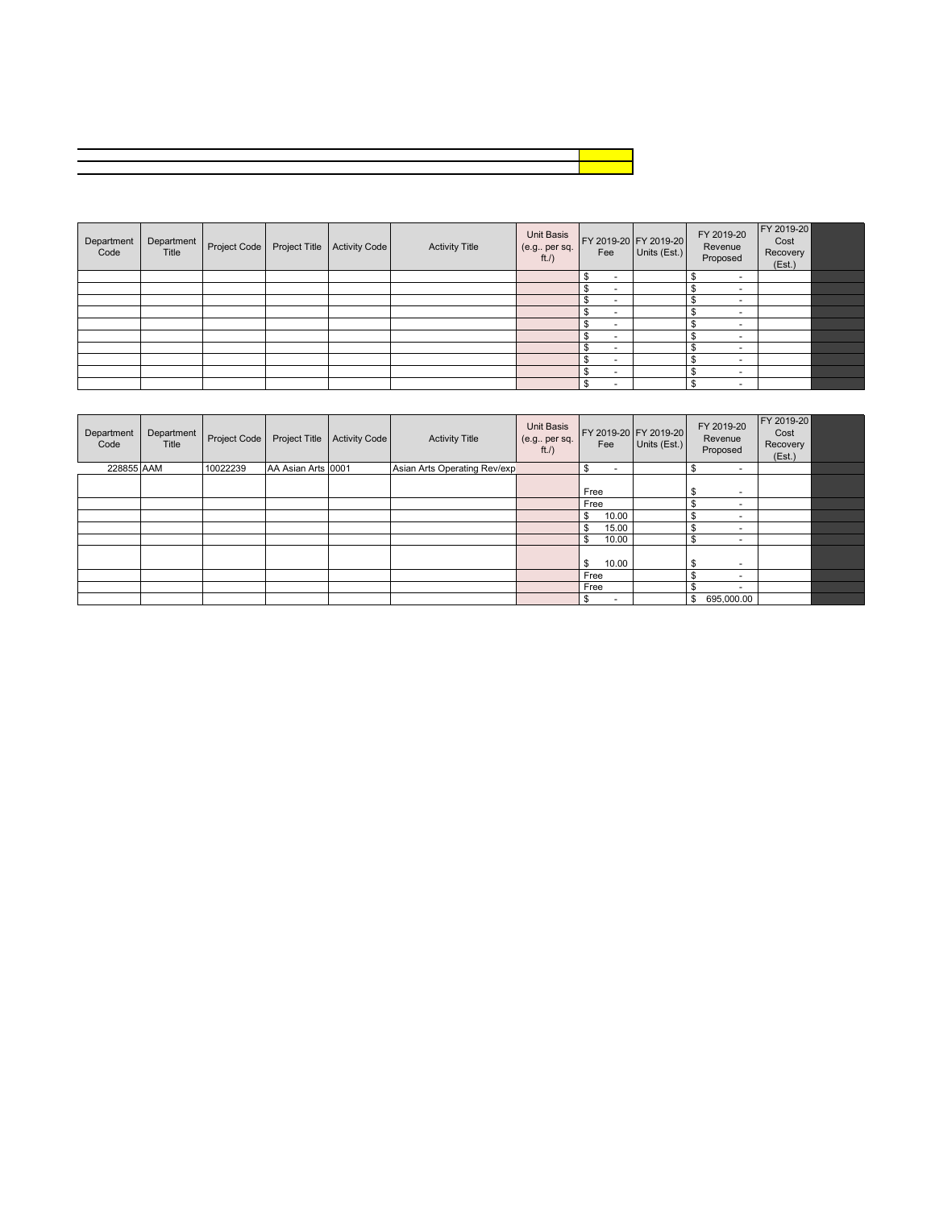| Department<br>Code | Department<br>Title | Project Code | Project Title | <b>Activity Code</b> | <b>Activity Title</b> | Unit Basis<br>(e.g., per sq.<br>ft. | Fee                            | FY 2019-20 FY 2019-20<br>Units (Est.) | FY 2019-20<br>Revenue<br>Proposed | FY 2019-20<br>Cost<br>Recovery<br>(Est.) |  |
|--------------------|---------------------|--------------|---------------|----------------------|-----------------------|-------------------------------------|--------------------------------|---------------------------------------|-----------------------------------|------------------------------------------|--|
|                    |                     |              |               |                      |                       |                                     | \$<br>$\overline{\phantom{a}}$ |                                       | $\overline{\phantom{a}}$          |                                          |  |
|                    |                     |              |               |                      |                       |                                     |                                |                                       | $\overline{\phantom{a}}$          |                                          |  |
|                    |                     |              |               |                      |                       |                                     | -                              |                                       | $\overline{\phantom{a}}$          |                                          |  |
|                    |                     |              |               |                      |                       |                                     | м<br>$\overline{\phantom{a}}$  |                                       | $\overline{\phantom{a}}$          |                                          |  |
|                    |                     |              |               |                      |                       |                                     |                                |                                       |                                   |                                          |  |
|                    |                     |              |               |                      |                       |                                     | $\overline{\phantom{a}}$       |                                       | $\overline{\phantom{a}}$          |                                          |  |
|                    |                     |              |               |                      |                       |                                     | <b>100</b>                     |                                       | $\overline{\phantom{a}}$          |                                          |  |
|                    |                     |              |               |                      |                       |                                     | $\overline{\phantom{a}}$       |                                       | $\overline{\phantom{a}}$          |                                          |  |
|                    |                     |              |               |                      |                       |                                     |                                |                                       | $\overline{\phantom{a}}$          |                                          |  |
|                    |                     |              |               |                      |                       |                                     | ٩<br>$\overline{\phantom{a}}$  |                                       | $\overline{\phantom{a}}$          |                                          |  |

| Department<br>Code | Department<br>Title | Project Code | Project Title      | <b>Activity Code</b> | <b>Activity Title</b>        | <b>Unit Basis</b><br>(e.g., per sq.<br>ft./) | FY 2019-20 FY 2019-20<br>Fee | Units (Est.) | FY 2019-20<br>Revenue<br>Proposed | FY 2019-20<br>Cost<br>Recovery<br>(Est.) |  |
|--------------------|---------------------|--------------|--------------------|----------------------|------------------------------|----------------------------------------------|------------------------------|--------------|-----------------------------------|------------------------------------------|--|
| 228855 AAM         |                     | 10022239     | AA Asian Arts 0001 |                      | Asian Arts Operating Rev/exp |                                              | $\overline{\phantom{a}}$     |              | \$                                |                                          |  |
|                    |                     |              |                    |                      |                              |                                              | Free                         |              | \$<br>۰                           |                                          |  |
|                    |                     |              |                    |                      |                              |                                              | Free                         |              | $\overline{a}$                    |                                          |  |
|                    |                     |              |                    |                      |                              |                                              | 10.00                        |              | $\overline{\phantom{a}}$          |                                          |  |
|                    |                     |              |                    |                      |                              |                                              | 15.00                        |              | $\overline{\phantom{a}}$          |                                          |  |
|                    |                     |              |                    |                      |                              |                                              | 10.00                        |              |                                   |                                          |  |
|                    |                     |              |                    |                      |                              |                                              | 10.00<br>\$                  |              | \$<br>$\overline{\phantom{a}}$    |                                          |  |
|                    |                     |              |                    |                      |                              |                                              | Free                         |              | $\overline{a}$                    |                                          |  |
|                    |                     |              |                    |                      |                              |                                              | Free                         |              | $\overline{\phantom{a}}$          |                                          |  |
|                    |                     |              |                    |                      |                              |                                              | $\overline{\phantom{a}}$     |              | 695,000.00<br>\$                  |                                          |  |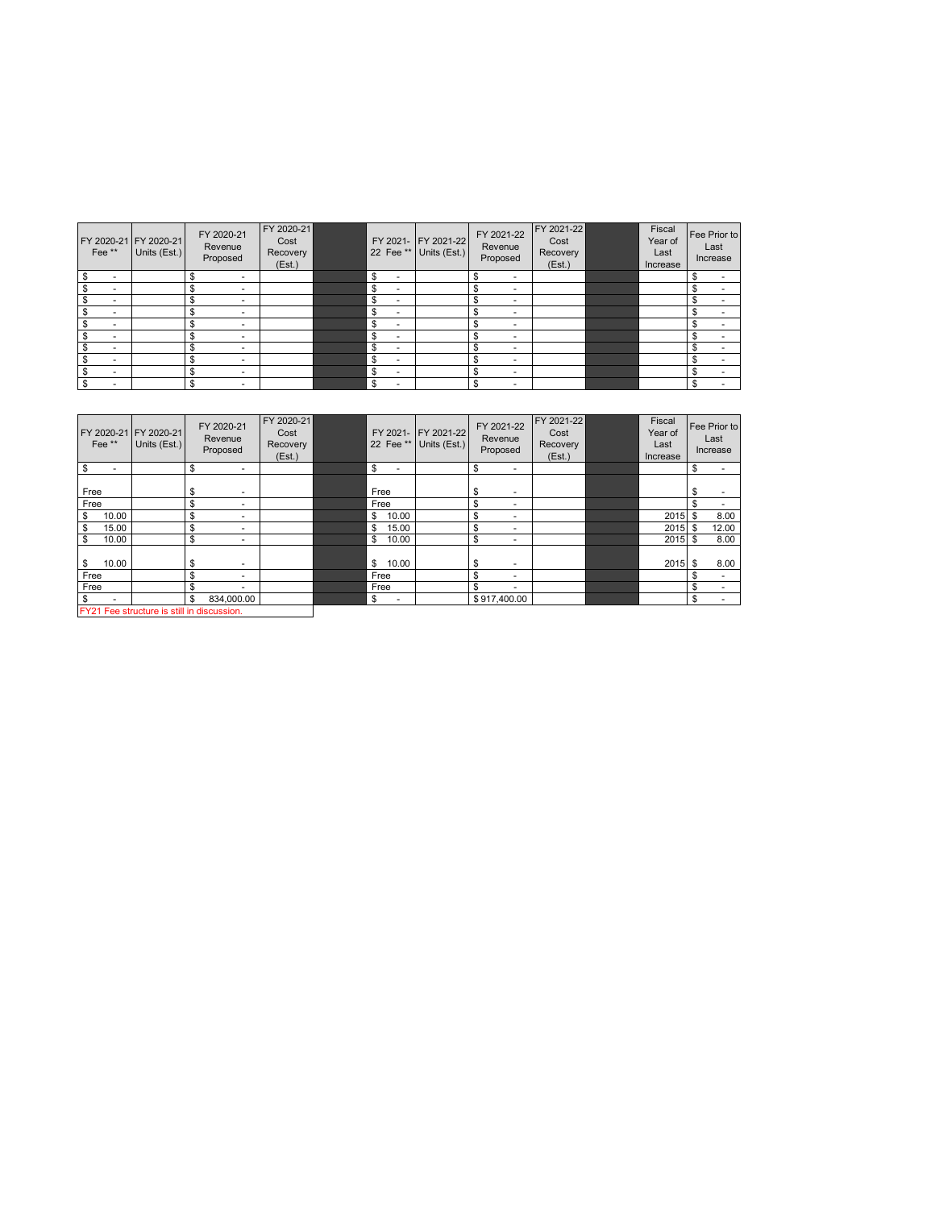| Fee** | FY 2020-21 FY 2020-21<br>Units (Est.) | FY 2020-21<br>Revenue<br>Proposed       | FY 2020-21<br>Cost<br>Recovery<br>(Est.) |                                | FY 2021- FY 2021-22<br>22 Fee ** Units (Est.) | FY 2021-22<br>Revenue<br>Proposed | FY 2021-22<br>Cost<br>Recovery<br>(Est.) | Fiscal<br>Year of<br>Last<br>Increase | Fee Prior to<br>Last<br>Increase |
|-------|---------------------------------------|-----------------------------------------|------------------------------------------|--------------------------------|-----------------------------------------------|-----------------------------------|------------------------------------------|---------------------------------------|----------------------------------|
| \$    |                                       | \$<br>$\overline{\phantom{a}}$          |                                          | \$<br>$\overline{\phantom{a}}$ |                                               | \$<br>۰                           |                                          |                                       |                                  |
| ж     |                                       |                                         |                                          | \$<br>$\overline{\phantom{a}}$ |                                               | ۰                                 |                                          |                                       |                                  |
|       |                                       | $\overline{\phantom{a}}$                |                                          | \$<br>$\overline{\phantom{a}}$ |                                               | ۰                                 |                                          |                                       |                                  |
|       |                                       |                                         |                                          | \$<br>$\overline{\phantom{a}}$ |                                               | ۰                                 |                                          |                                       |                                  |
|       |                                       | $\overline{\phantom{a}}$                |                                          | \$<br>$\overline{\phantom{a}}$ |                                               | -                                 |                                          |                                       |                                  |
|       |                                       | S                                       |                                          | \$<br>$\overline{\phantom{a}}$ |                                               |                                   |                                          |                                       |                                  |
|       |                                       | $\overline{\phantom{a}}$                |                                          | \$<br>$\overline{\phantom{a}}$ |                                               |                                   |                                          |                                       |                                  |
| Ъ.    |                                       |                                         |                                          | \$<br>$\overline{\phantom{a}}$ |                                               | -                                 |                                          |                                       |                                  |
|       |                                       | \$.<br>$\overline{\phantom{a}}$         |                                          | \$<br>$\overline{\phantom{a}}$ |                                               | $\overline{\phantom{a}}$          |                                          |                                       |                                  |
|       |                                       | $\triangle$<br>$\overline{\phantom{a}}$ |                                          | \$<br>$\overline{\phantom{a}}$ |                                               | ۰                                 |                                          |                                       |                                  |

| Fee <sup>**</sup>                          | FY 2020-21 FY 2020-21<br>Units (Est.) |    | FY 2020-21<br>Revenue<br>Proposed | FY 2020-21<br>Cost<br>Recovery<br>(Est.) |             | FY 2021- FY 2021-22<br>22 Fee ** Units (Est.) | FY 2021-22<br>Revenue<br>Proposed | FY 2021-22<br>Cost<br>Recovery<br>(Est.) | Fiscal<br>Year of<br>Last<br>Increase |    | Fee Prior to<br>Last<br>Increase |
|--------------------------------------------|---------------------------------------|----|-----------------------------------|------------------------------------------|-------------|-----------------------------------------------|-----------------------------------|------------------------------------------|---------------------------------------|----|----------------------------------|
| $\overline{\mathbf{s}}$<br>٠               |                                       | S  | -                                 |                                          | \$<br>۰     |                                               | \$<br>$\overline{\phantom{a}}$    |                                          |                                       | \$ | ۰                                |
| Free                                       |                                       | \$ |                                   |                                          | Free        |                                               | \$<br>$\overline{\phantom{a}}$    |                                          |                                       |    |                                  |
| Free                                       |                                       | \$ | $\overline{\phantom{a}}$          |                                          | Free        |                                               | \$<br>۰                           |                                          |                                       | \$ |                                  |
| \$<br>10.00                                |                                       | \$ | $\overline{\phantom{a}}$          |                                          | 10.00<br>\$ |                                               | \$<br>$\overline{\phantom{a}}$    |                                          | $2015$ \$                             |    | 8.00                             |
| \$<br>15.00                                |                                       | \$ | $\overline{\phantom{a}}$          |                                          | \$<br>15.00 |                                               | \$                                |                                          | $2015$ \$                             |    | 12.00                            |
| \$<br>10.00                                |                                       | \$ | $\overline{\phantom{a}}$          |                                          | \$<br>10.00 |                                               | \$<br>$\overline{\phantom{a}}$    |                                          | $2015$ \$                             |    | 8.00                             |
| 10.00<br>$\sqrt{3}$                        |                                       | \$ | $\overline{\phantom{a}}$          |                                          | \$<br>10.00 |                                               | \$<br>۰                           |                                          | 2015S                                 |    | 8.00                             |
| Free                                       |                                       | \$ | $\overline{\phantom{a}}$          |                                          | Free        |                                               | \$                                |                                          |                                       | S  | ٠                                |
| Free                                       |                                       | \$ | $\overline{\phantom{a}}$          |                                          | Free        |                                               | \$                                |                                          |                                       |    | ۰                                |
| $\sqrt{3}$                                 |                                       | \$ | 834.000.00                        |                                          | \$<br>۰     |                                               | \$917,400.00                      |                                          |                                       | \$ | ٠                                |
| FY21 Fee structure is still in discussion. |                                       |    |                                   |                                          |             |                                               |                                   |                                          |                                       |    |                                  |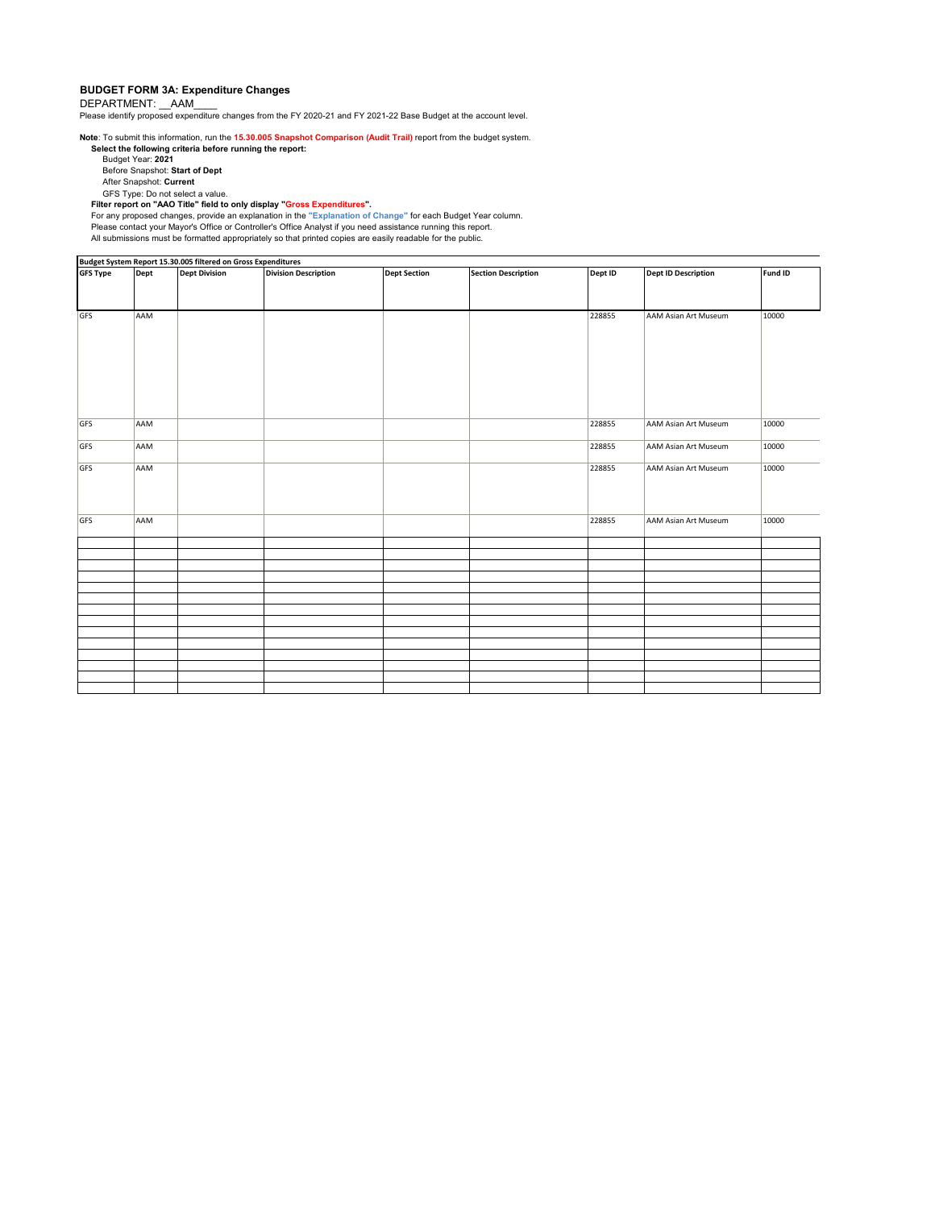#### **BUDGET FORM 3A: Expenditure Changes**

DEPARTMENT: \_\_AAM

Please identify proposed expenditure changes from the FY 2020-21 and FY 2021-22 Base Budget at the account level.

**Note**: To submit this information, run the **15.30.005 Snapshot Comparison (Audit Trail)** report from the budget system.

**Select the following criteria before running the report:**  Budget Year: **2021** Before Snapshot: **Start of Dept**

After Snapshot: **Current**

GFS Type: Do not select a value.<br>Fil**ter report on "AAO Title" field to only display "Gross Expenditures".**<br>For any proposed changes, provide an explanation in the "Explanation of Change" for each Budget Year column.<br>Pleas All submissions must be formatted appropriately so that printed copies are easily readable for the public.

|                 |      | Budget System Report 15.30.005 filtered on Gross Expenditures |                             |                     |                            |         |                            |         |
|-----------------|------|---------------------------------------------------------------|-----------------------------|---------------------|----------------------------|---------|----------------------------|---------|
| <b>GFS Type</b> | Dept | <b>Dept Division</b>                                          | <b>Division Description</b> | <b>Dept Section</b> | <b>Section Description</b> | Dept ID | <b>Dept ID Description</b> | Fund ID |
|                 |      |                                                               |                             |                     |                            |         |                            |         |
|                 |      |                                                               |                             |                     |                            |         |                            |         |
|                 |      |                                                               |                             |                     |                            |         |                            |         |
| GFS             | AAM  |                                                               |                             |                     |                            | 228855  | AAM Asian Art Museum       | 10000   |
|                 |      |                                                               |                             |                     |                            |         |                            |         |
|                 |      |                                                               |                             |                     |                            |         |                            |         |
|                 |      |                                                               |                             |                     |                            |         |                            |         |
|                 |      |                                                               |                             |                     |                            |         |                            |         |
|                 |      |                                                               |                             |                     |                            |         |                            |         |
|                 |      |                                                               |                             |                     |                            |         |                            |         |
|                 |      |                                                               |                             |                     |                            |         |                            |         |
|                 |      |                                                               |                             |                     |                            |         |                            |         |
|                 |      |                                                               |                             |                     |                            |         |                            |         |
| GFS             | AAM  |                                                               |                             |                     |                            | 228855  | AAM Asian Art Museum       | 10000   |
|                 |      |                                                               |                             |                     |                            |         |                            |         |
| GFS             | AAM  |                                                               |                             |                     |                            | 228855  | AAM Asian Art Museum       | 10000   |
|                 |      |                                                               |                             |                     |                            |         |                            |         |
| GFS             | AAM  |                                                               |                             |                     |                            | 228855  | AAM Asian Art Museum       | 10000   |
|                 |      |                                                               |                             |                     |                            |         |                            |         |
|                 |      |                                                               |                             |                     |                            |         |                            |         |
|                 |      |                                                               |                             |                     |                            |         |                            |         |
| GFS             | AAM  |                                                               |                             |                     |                            | 228855  | AAM Asian Art Museum       | 10000   |
|                 |      |                                                               |                             |                     |                            |         |                            |         |
|                 |      |                                                               |                             |                     |                            |         |                            |         |
|                 |      |                                                               |                             |                     |                            |         |                            |         |
|                 |      |                                                               |                             |                     |                            |         |                            |         |
|                 |      |                                                               |                             |                     |                            |         |                            |         |
|                 |      |                                                               |                             |                     |                            |         |                            |         |
|                 |      |                                                               |                             |                     |                            |         |                            |         |
|                 |      |                                                               |                             |                     |                            |         |                            |         |
|                 |      |                                                               |                             |                     |                            |         |                            |         |
|                 |      |                                                               |                             |                     |                            |         |                            |         |
|                 |      |                                                               |                             |                     |                            |         |                            |         |
|                 |      |                                                               |                             |                     |                            |         |                            |         |
|                 |      |                                                               |                             |                     |                            |         |                            |         |
|                 |      |                                                               |                             |                     |                            |         |                            |         |
|                 |      |                                                               |                             |                     |                            |         |                            |         |
|                 |      |                                                               |                             |                     |                            |         |                            |         |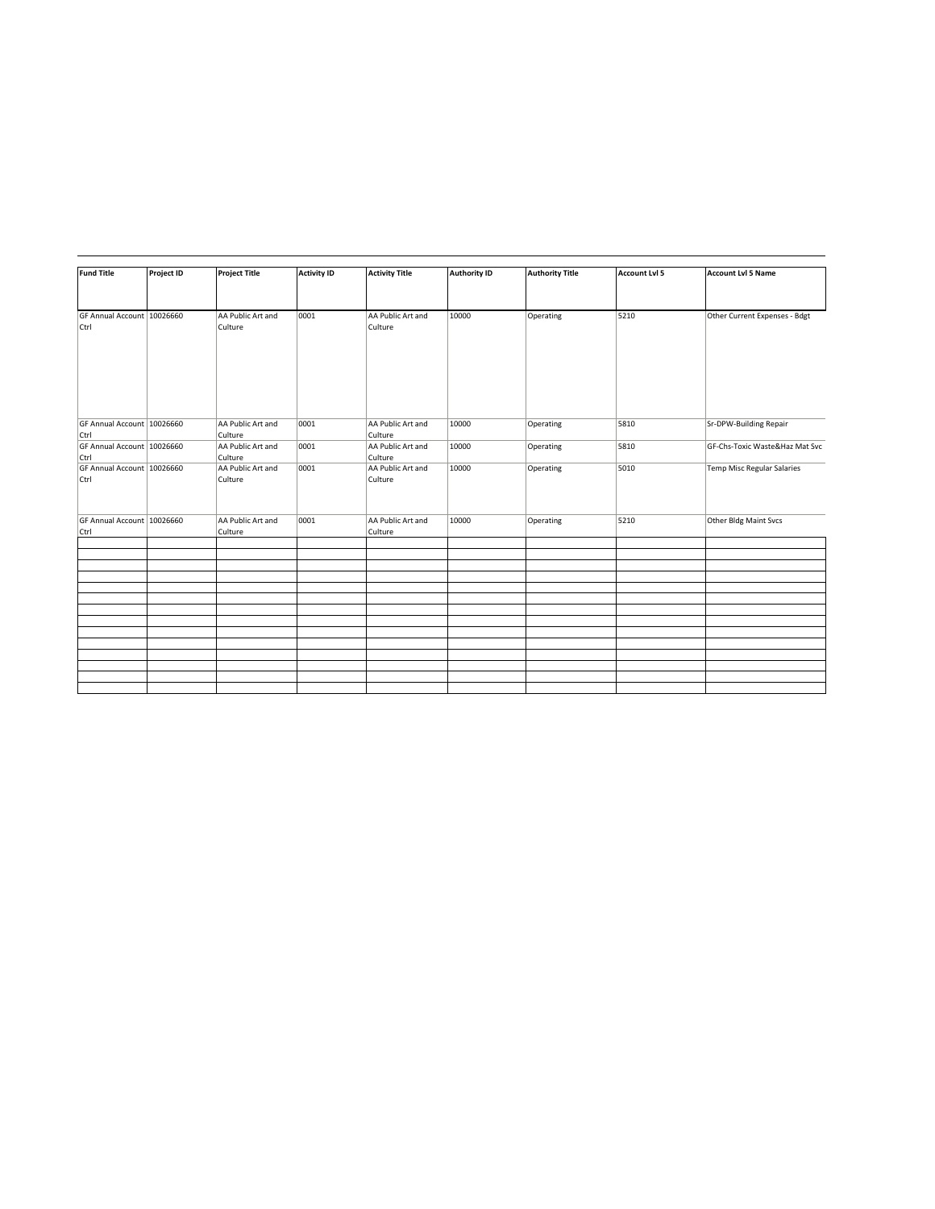| <b>Fund Title</b>                  | <b>Project ID</b> | <b>Project Title</b>         | <b>Activity ID</b> | <b>Activity Title</b>        | <b>Authority ID</b> | <b>Authority Title</b> | <b>Account Lvl 5</b> | <b>Account Lvl 5 Name</b>         |
|------------------------------------|-------------------|------------------------------|--------------------|------------------------------|---------------------|------------------------|----------------------|-----------------------------------|
| GF Annual Account 10026660<br>Ctrl |                   | AA Public Art and<br>Culture | 0001               | AA Public Art and<br>Culture | 10000               | Operating              | 5210                 | Other Current Expenses - Bdgt     |
| GF Annual Account 10026660         |                   | AA Public Art and            | 0001               | AA Public Art and            | 10000               | Operating              | 5810                 | Sr-DPW-Building Repair            |
| Ctrl                               |                   | Culture                      |                    | Culture                      |                     |                        |                      |                                   |
| GF Annual Account 10026660<br>Ctrl |                   | AA Public Art and<br>Culture | 0001               | AA Public Art and<br>Culture | 10000               | Operating              | 5810                 | GF-Chs-Toxic Waste&Haz Mat Svc    |
| GF Annual Account 10026660<br>Ctrl |                   | AA Public Art and<br>Culture | 0001               | AA Public Art and<br>Culture | 10000               | Operating              | 5010                 | <b>Temp Misc Regular Salaries</b> |
| GF Annual Account 10026660<br>Ctrl |                   | AA Public Art and<br>Culture | 0001               | AA Public Art and<br>Culture | 10000               | Operating              | 5210                 | Other Bldg Maint Svcs             |
|                                    |                   |                              |                    |                              |                     |                        |                      |                                   |
|                                    |                   |                              |                    |                              |                     |                        |                      |                                   |
|                                    |                   |                              |                    |                              |                     |                        |                      |                                   |
|                                    |                   |                              |                    |                              |                     |                        |                      |                                   |
|                                    |                   |                              |                    |                              |                     |                        |                      |                                   |
|                                    |                   |                              |                    |                              |                     |                        |                      |                                   |
|                                    |                   |                              |                    |                              |                     |                        |                      |                                   |
|                                    |                   |                              |                    |                              |                     |                        |                      |                                   |
|                                    |                   |                              |                    |                              |                     |                        |                      |                                   |
|                                    |                   |                              |                    |                              |                     |                        |                      |                                   |
|                                    |                   |                              |                    |                              |                     |                        |                      |                                   |
|                                    |                   |                              |                    |                              |                     |                        |                      |                                   |
|                                    |                   |                              |                    |                              |                     |                        |                      |                                   |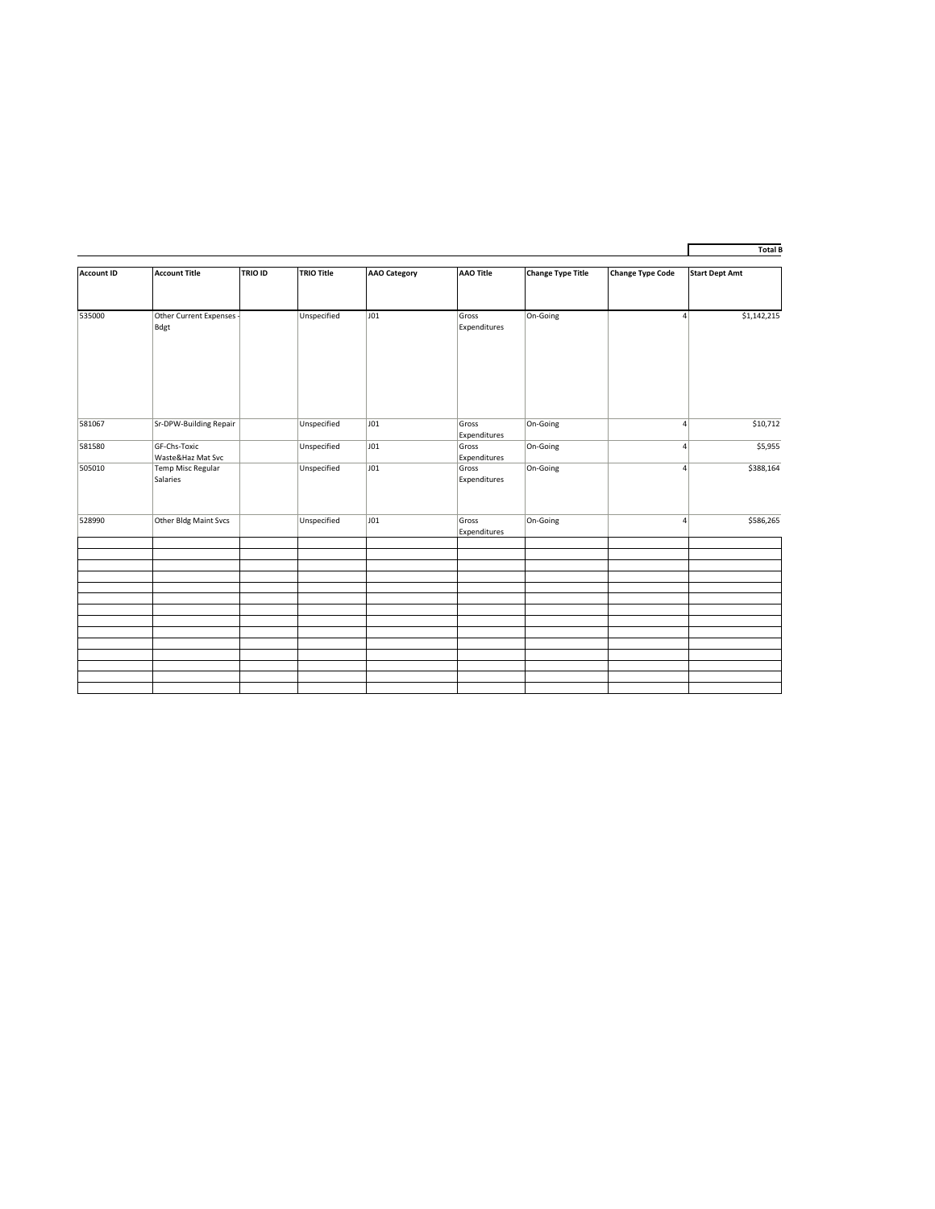| <b>Account ID</b> | <b>Account Title</b>                 | <b>TRIO ID</b> | <b>TRIO Title</b> | <b>AAO Category</b> | <b>AAO Title</b>      | <b>Change Type Title</b> | <b>Change Type Code</b> | <b>Start Dept Amt</b>         |
|-------------------|--------------------------------------|----------------|-------------------|---------------------|-----------------------|--------------------------|-------------------------|-------------------------------|
|                   |                                      |                |                   |                     |                       |                          |                         |                               |
| 535000            | Other Current Expenses -<br>Bdgt     |                | Unspecified       | J01                 | Gross<br>Expenditures | On-Going                 |                         | \$1,142,215<br>$\overline{4}$ |
| 581067            | Sr-DPW-Building Repair               |                | Unspecified       | J01                 | Gross<br>Expenditures | On-Going                 |                         | \$10,712<br>4                 |
| 581580            | GF-Chs-Toxic<br>Waste&Haz Mat Svc    |                | Unspecified       | JO1                 | Gross<br>Expenditures | On-Going                 |                         | \$5,955<br>$\vert$            |
| 505010            | <b>Temp Misc Regular</b><br>Salaries |                | Unspecified       | J01                 | Gross<br>Expenditures | On-Going                 |                         | \$388,164<br>$\overline{4}$   |
| 528990            | Other Bldg Maint Svcs                |                | Unspecified       | J01                 | Gross<br>Expenditures | On-Going                 |                         | $\overline{4}$<br>\$586,265   |
|                   |                                      |                |                   |                     |                       |                          |                         |                               |
|                   |                                      |                |                   |                     |                       |                          |                         |                               |
|                   |                                      |                |                   |                     |                       |                          |                         |                               |
|                   |                                      |                |                   |                     |                       |                          |                         |                               |
|                   |                                      |                |                   |                     |                       |                          |                         |                               |
|                   |                                      |                |                   |                     |                       |                          |                         |                               |
|                   |                                      |                |                   |                     |                       |                          |                         |                               |
|                   |                                      |                |                   |                     |                       |                          |                         |                               |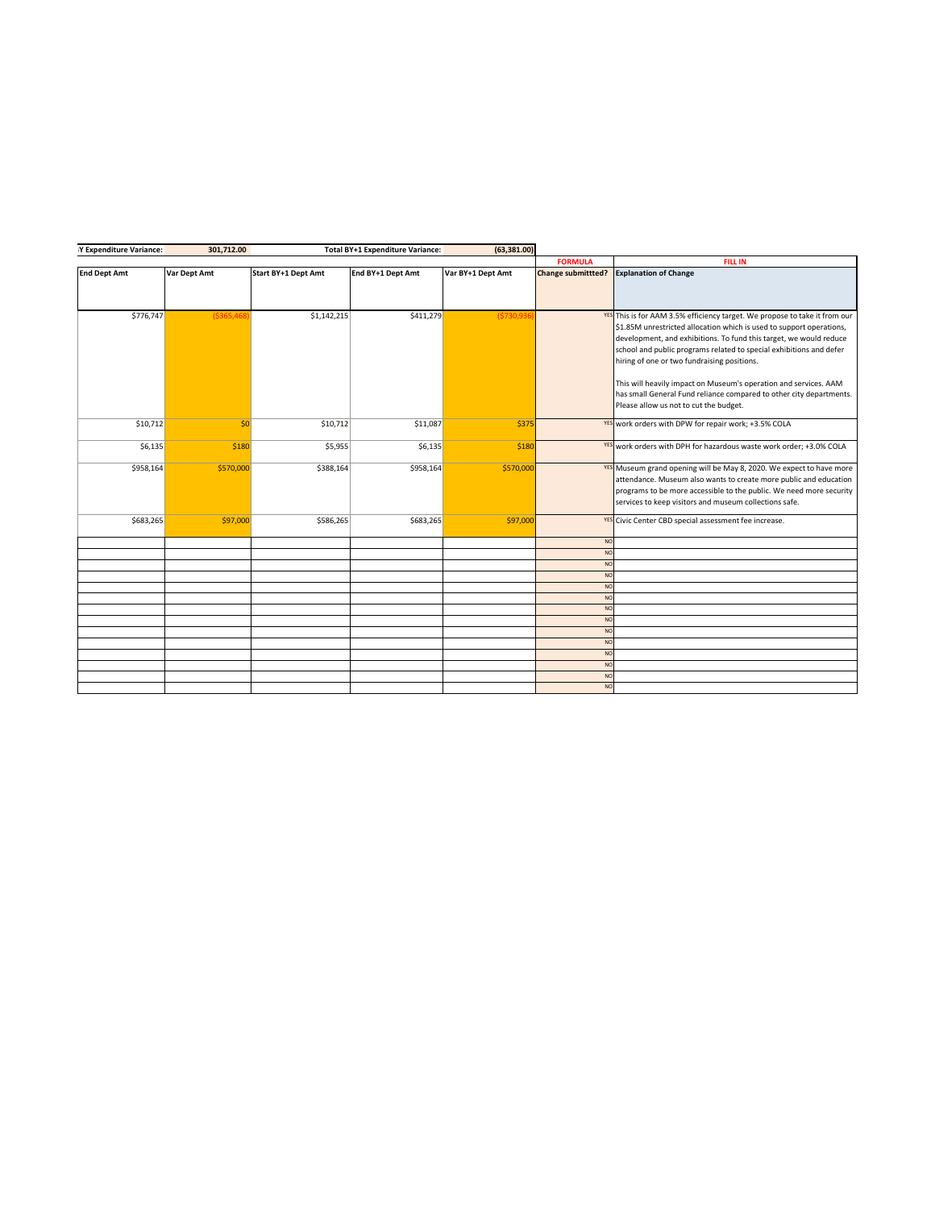| IY Expenditure Variance: | 301,712.00    |                     | Total BY+1 Expenditure Variance: | (63,381.00)       |                           |                                                                             |
|--------------------------|---------------|---------------------|----------------------------------|-------------------|---------------------------|-----------------------------------------------------------------------------|
|                          |               |                     |                                  |                   | <b>FORMULA</b>            | <b>FILL IN</b>                                                              |
| <b>End Dept Amt</b>      | Var Dept Amt  | Start BY+1 Dept Amt | End BY+1 Dept Amt                | Var BY+1 Dept Amt | <b>Change submittted?</b> | <b>Explanation of Change</b>                                                |
|                          |               |                     |                                  |                   |                           |                                                                             |
|                          |               |                     |                                  |                   |                           |                                                                             |
|                          |               |                     |                                  |                   |                           |                                                                             |
| \$776,747                | ( \$365, 468] | \$1,142,215         | \$411,279                        | (\$730,936        |                           | YES This is for AAM 3.5% efficiency target. We propose to take it from our  |
|                          |               |                     |                                  |                   |                           | \$1.85M unrestricted allocation which is used to support operations,        |
|                          |               |                     |                                  |                   |                           | development, and exhibitions. To fund this target, we would reduce          |
|                          |               |                     |                                  |                   |                           | school and public programs related to special exhibitions and defer         |
|                          |               |                     |                                  |                   |                           | hiring of one or two fundraising positions.                                 |
|                          |               |                     |                                  |                   |                           |                                                                             |
|                          |               |                     |                                  |                   |                           | This will heavily impact on Museum's operation and services. AAM            |
|                          |               |                     |                                  |                   |                           | has small General Fund reliance compared to other city departments.         |
|                          |               |                     |                                  |                   |                           | Please allow us not to cut the budget.                                      |
|                          |               |                     |                                  |                   |                           |                                                                             |
| \$10,712                 | 50            | \$10,712            | \$11,087                         | \$375             |                           | YES work orders with DPW for repair work; +3.5% COLA                        |
|                          |               |                     |                                  |                   |                           |                                                                             |
| \$6,135                  | \$180         | \$5,955             | \$6,135                          | \$180             |                           | YES work orders with DPH for hazardous waste work order; +3.0% COLA         |
|                          |               |                     |                                  |                   |                           |                                                                             |
| \$958,164                | \$570,000     | \$388,164           | \$958,164                        | \$570,000         |                           | <b>YES</b> Museum grand opening will be May 8, 2020. We expect to have more |
|                          |               |                     |                                  |                   |                           | attendance. Museum also wants to create more public and education           |
|                          |               |                     |                                  |                   |                           | programs to be more accessible to the public. We need more security         |
|                          |               |                     |                                  |                   |                           | services to keep visitors and museum collections safe.                      |
|                          |               |                     |                                  |                   |                           |                                                                             |
| \$683,265                | \$97,000      | \$586,265           | \$683,265                        | \$97,000          |                           | <b>YES</b> Civic Center CBD special assessment fee increase.                |
|                          |               |                     |                                  |                   | <b>NO</b>                 |                                                                             |
|                          |               |                     |                                  |                   | <b>NO</b>                 |                                                                             |
|                          |               |                     |                                  |                   | <b>NO</b>                 |                                                                             |
|                          |               |                     |                                  |                   | <b>NO</b>                 |                                                                             |
|                          |               |                     |                                  |                   | <b>NO</b>                 |                                                                             |
|                          |               |                     |                                  |                   | <b>NO</b>                 |                                                                             |
|                          |               |                     |                                  |                   | <b>NO</b>                 |                                                                             |
|                          |               |                     |                                  |                   | <b>NO</b>                 |                                                                             |
|                          |               |                     |                                  |                   | <b>NO</b>                 |                                                                             |
|                          |               |                     |                                  |                   | <b>NO</b>                 |                                                                             |
|                          |               |                     |                                  |                   | <b>NO</b>                 |                                                                             |
|                          |               |                     |                                  |                   | <b>NO</b>                 |                                                                             |
|                          |               |                     |                                  |                   | <b>NO</b>                 |                                                                             |
|                          |               |                     |                                  |                   | <b>NO</b>                 |                                                                             |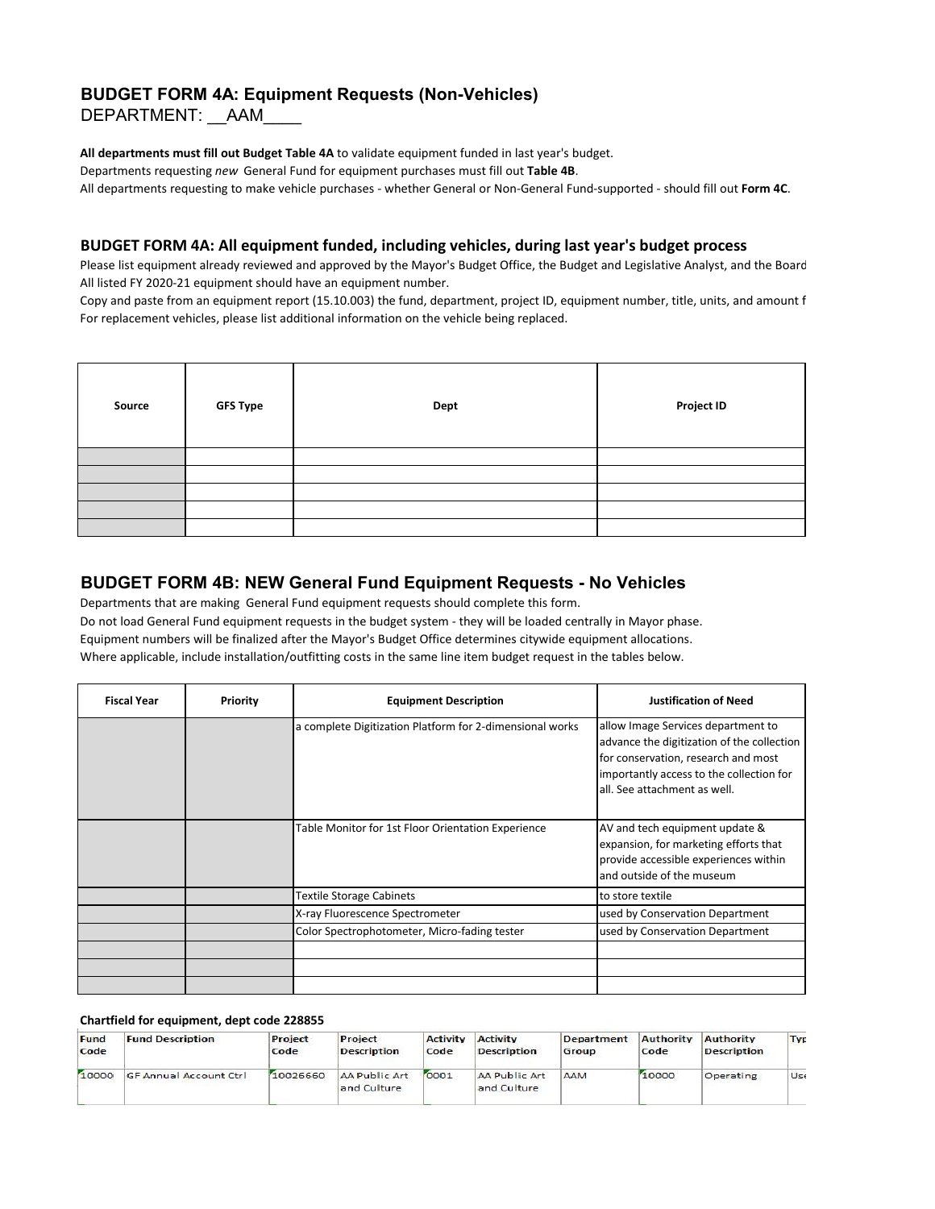# **BUDGET FORM 4A: Equipment Requests (Non-Vehicles)**

DEPARTMENT: AAM

**All departments must fill out Budget Table 4A** to validate equipment funded in last year's budget. Departments requesting *new* General Fund for equipment purchases must fill out **Table 4B**. All departments requesting to make vehicle purchases - whether General or Non-General Fund-supported - should fill out **Form 4C**.

## **BUDGET FORM 4A: All equipment funded, including vehicles, during last year's budget process**

Please list equipment already reviewed and approved by the Mayor's Budget Office, the Budget and Legislative Analyst, and the Board All listed FY 2020-21 equipment should have an equipment number.

Copy and paste from an equipment report (15.10.003) the fund, department, project ID, equipment number, title, units, and amount f For replacement vehicles, please list additional information on the vehicle being replaced.

| Source | <b>GFS Type</b> | Dept | <b>Project ID</b> |
|--------|-----------------|------|-------------------|
|        |                 |      |                   |
|        |                 |      |                   |
|        |                 |      |                   |
|        |                 |      |                   |
|        |                 |      |                   |

# **BUDGET FORM 4B: NEW General Fund Equipment Requests - No Vehicles**

Departments that are making General Fund equipment requests should complete this form. Do not load General Fund equipment requests in the budget system - they will be loaded centrally in Mayor phase. Equipment numbers will be finalized after the Mayor's Budget Office determines citywide equipment allocations. Where applicable, include installation/outfitting costs in the same line item budget request in the tables below.

| <b>Fiscal Year</b> | Priority | <b>Equipment Description</b>                             | <b>Justification of Need</b>                                                                                                                                                                        |
|--------------------|----------|----------------------------------------------------------|-----------------------------------------------------------------------------------------------------------------------------------------------------------------------------------------------------|
|                    |          | a complete Digitization Platform for 2-dimensional works | allow Image Services department to<br>advance the digitization of the collection<br>for conservation, research and most<br>importantly access to the collection for<br>all. See attachment as well. |
|                    |          | Table Monitor for 1st Floor Orientation Experience       | AV and tech equipment update &<br>expansion, for marketing efforts that<br>provide accessible experiences within<br>and outside of the museum                                                       |
|                    |          | <b>Textile Storage Cabinets</b>                          | to store textile                                                                                                                                                                                    |
|                    |          | X-ray Fluorescence Spectrometer                          | used by Conservation Department                                                                                                                                                                     |
|                    |          | Color Spectrophotometer, Micro-fading tester             | used by Conservation Department                                                                                                                                                                     |
|                    |          |                                                          |                                                                                                                                                                                                     |
|                    |          |                                                          |                                                                                                                                                                                                     |
|                    |          |                                                          |                                                                                                                                                                                                     |

#### **Chartfield for equipment, dept code 228855**

| Fund<br>Code | <b>Fund Description</b>       | Project<br>Code | Project<br><b>Description</b> | <b>Activity</b><br>Code | Activity<br><b>Description</b> | Department<br>Group | Authority<br>Code | Authority<br><b>Description</b> | Typ |
|--------------|-------------------------------|-----------------|-------------------------------|-------------------------|--------------------------------|---------------------|-------------------|---------------------------------|-----|
| 10000        | <b>GF Annual Account Ctrl</b> | 10026660        | AA Public Art<br>and Culture  | 0001                    | AA Public Art<br>and Culture   | AAM                 | 10000             | Operating                       | Ust |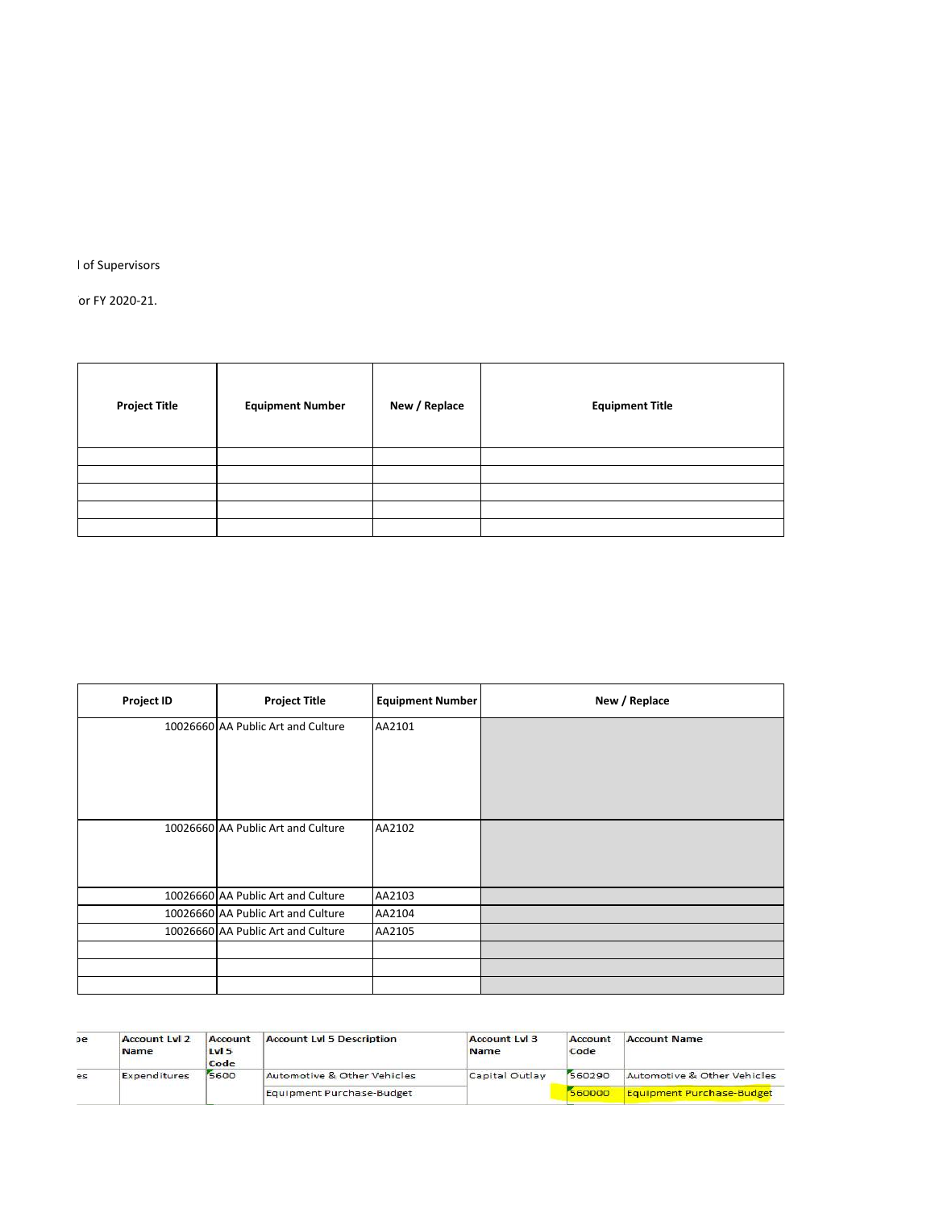I of Supervisors

 $\overline{p}$  or FY 2020-21.

| <b>Project Title</b> | <b>Equipment Number</b> | New / Replace | <b>Equipment Title</b> |
|----------------------|-------------------------|---------------|------------------------|
|                      |                         |               |                        |
|                      |                         |               |                        |
|                      |                         |               |                        |
|                      |                         |               |                        |
|                      |                         |               |                        |

| <b>Project ID</b> | <b>Project Title</b>               | <b>Equipment Number</b> | New / Replace |
|-------------------|------------------------------------|-------------------------|---------------|
|                   | 10026660 AA Public Art and Culture | AA2101                  |               |
|                   |                                    |                         |               |
|                   |                                    |                         |               |
|                   |                                    |                         |               |
|                   | 10026660 AA Public Art and Culture | AA2102                  |               |
|                   |                                    |                         |               |
|                   |                                    |                         |               |
|                   | 10026660 AA Public Art and Culture | AA2103                  |               |
|                   | 10026660 AA Public Art and Culture | AA2104                  |               |
|                   | 10026660 AA Public Art and Culture | AA2105                  |               |
|                   |                                    |                         |               |
|                   |                                    |                         |               |
|                   |                                    |                         |               |

| оe | <b>Account Lyl 2</b><br><b>Name</b> | Account<br>$1w$ 5<br>Code | <b>Account Lyl 5 Description</b> | <b>Account Lvl 3</b><br>Name | Account<br>Code | <b>Account Name</b>              |
|----|-------------------------------------|---------------------------|----------------------------------|------------------------------|-----------------|----------------------------------|
| es | Expenditures                        | 5600                      | Automotive & Other Vehicles      | Capital Outlay               | 560290          | Automotive & Other Vehicles      |
|    |                                     |                           | Equipment Purchase-Budget        |                              | 560000          | <b>Equipment Purchase-Budget</b> |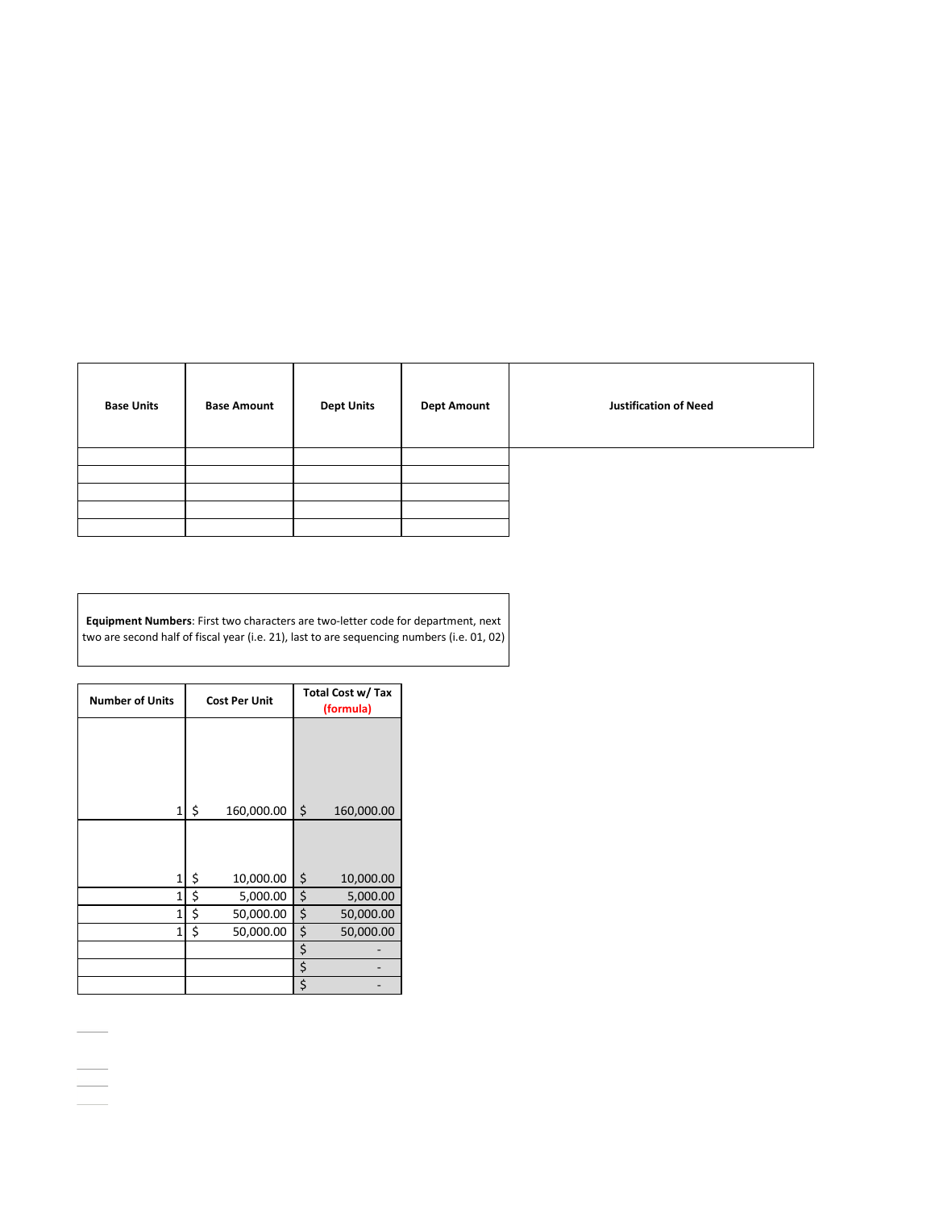| <b>Base Units</b> | <b>Base Amount</b> | <b>Dept Units</b> | <b>Dept Amount</b> | <b>Justification of Need</b> |
|-------------------|--------------------|-------------------|--------------------|------------------------------|
|                   |                    |                   |                    |                              |
|                   |                    |                   |                    |                              |
|                   |                    |                   |                    |                              |
|                   |                    |                   |                    |                              |
|                   |                    |                   |                    |                              |

**Equipment Numbers**: First two characters are two-letter code for department, next two are second half of fiscal year (i.e. 21), last to are sequencing numbers (i.e. 01, 02)

| <b>Number of Units</b> | <b>Cost Per Unit</b> | Total Cost w/ Tax<br>(formula) |
|------------------------|----------------------|--------------------------------|
|                        |                      |                                |
|                        |                      |                                |
|                        |                      |                                |
| 1                      | \$<br>160,000.00     | \$<br>160,000.00               |
|                        |                      |                                |
| $\mathbf{1}$           | \$<br>10,000.00      | \$<br>10,000.00                |
| $\mathbf{1}$           | \$<br>5,000.00       | \$<br>5,000.00                 |
| $\overline{1}$         | \$<br>50,000.00      | \$<br>50,000.00                |
| $\mathbf{1}$           | \$<br>50,000.00      | \$<br>50,000.00                |
|                        |                      | \$                             |
|                        |                      | \$                             |
|                        |                      | \$                             |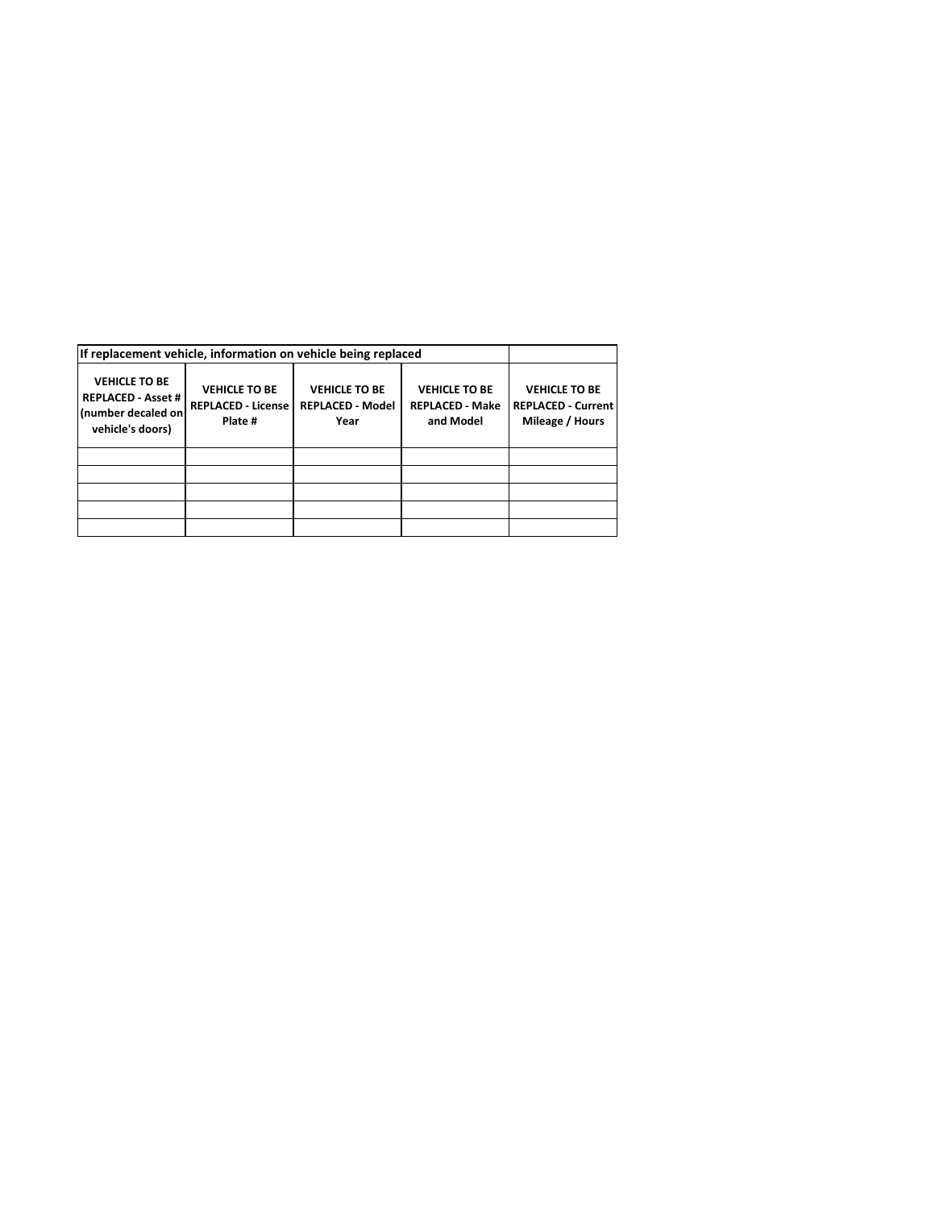| If replacement vehicle, information on vehicle being replaced                               |                                                              |                                                         |                                                             |                                                                      |
|---------------------------------------------------------------------------------------------|--------------------------------------------------------------|---------------------------------------------------------|-------------------------------------------------------------|----------------------------------------------------------------------|
| <b>VEHICLE TO BE</b><br><b>REPLACED - Asset #</b><br>(number decaled on<br>vehicle's doors) | <b>VEHICLE TO BE</b><br><b>REPLACED - License</b><br>Plate # | <b>VEHICLE TO BE</b><br><b>REPLACED - Model</b><br>Year | <b>VEHICLE TO BE</b><br><b>REPLACED - Make</b><br>and Model | <b>VEHICLE TO BE</b><br><b>REPLACED - Current</b><br>Mileage / Hours |
|                                                                                             |                                                              |                                                         |                                                             |                                                                      |
|                                                                                             |                                                              |                                                         |                                                             |                                                                      |
|                                                                                             |                                                              |                                                         |                                                             |                                                                      |
|                                                                                             |                                                              |                                                         |                                                             |                                                                      |
|                                                                                             |                                                              |                                                         |                                                             |                                                                      |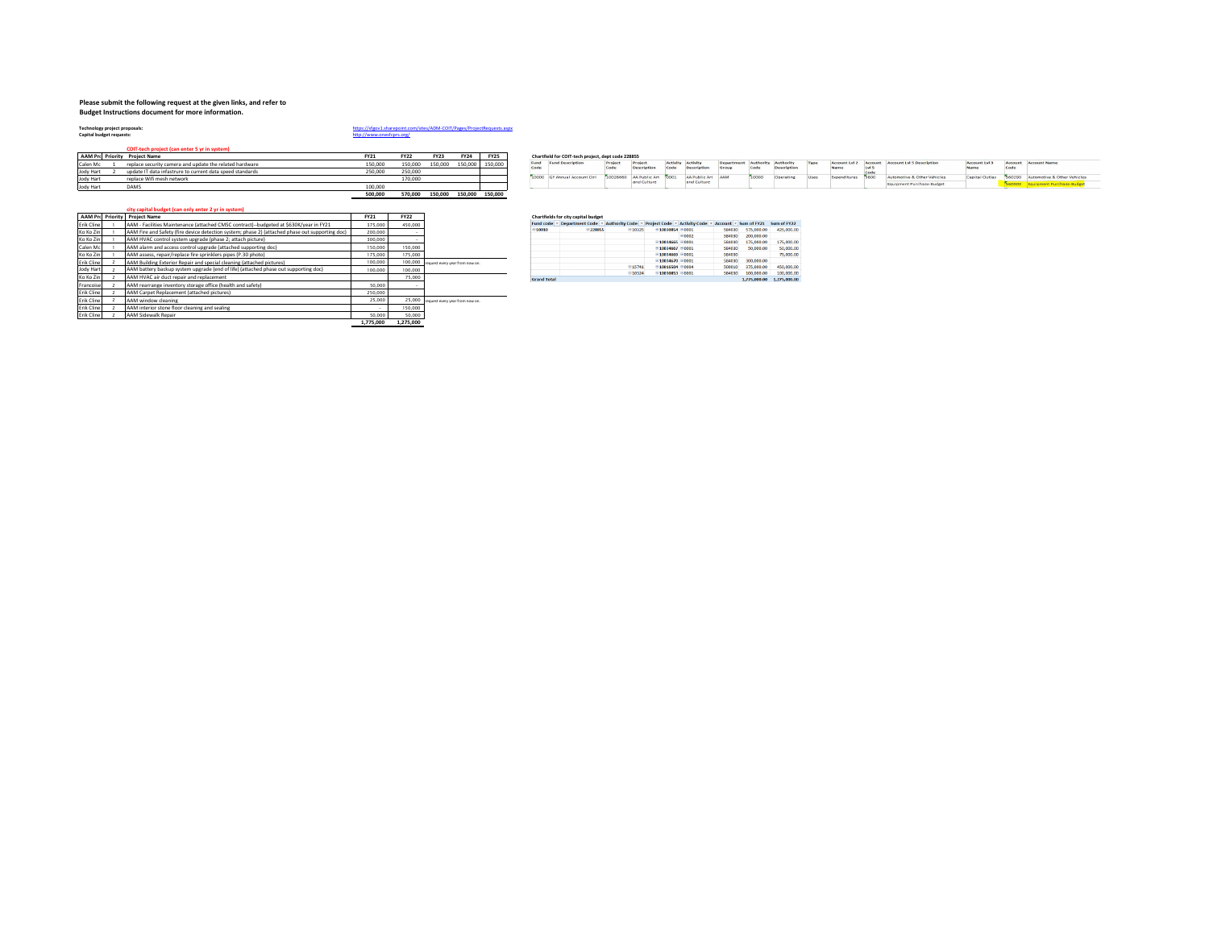#### **Please submit the following request at the given links, and refer to**

**Budget Instructions document for more information.** 

Technology project proposals:<br>Capital budget requests:

# **Technology project proposals:** <https://sfgov1.sharepoint.com/sites/ADM-COIT/Pages/ProjectRequests.aspx>

**COIT-tech project (can enter 5 yr in system)**

|                  | AAM Pro Priority Project Name                             | FY21    | <b>FY22</b> | <b>FY23</b> | <b>FY24</b>             | <b>FY25</b> |       | Chartfield for COIT-tech project, dept code 228855 |                             |                 |                   |                    |             |      |       |                                   |                |                                    |
|------------------|-----------------------------------------------------------|---------|-------------|-------------|-------------------------|-------------|-------|----------------------------------------------------|-----------------------------|-----------------|-------------------|--------------------|-------------|------|-------|-----------------------------------|----------------|------------------------------------|
| Calen Mc         | replace security camera and update the related hardware   | 150,000 | 150,000     | 150,000     | 150,000 150,000         |             | Fund  | <b>Fund Descriptio</b>                             | Project                     | <b>Activity</b> | Activity          | Authority Authorit |             |      |       | Account Account Lyl 5 Description | Account Lyl 3  | Arrount Arrount Name               |
| Jody Hart        | update IT data infastrure to current data speed standards | 250,000 | 250,000     |             |                         |             |       |                                                    |                             | Code            | Descript!         |                    | Description | Name | Lyl 5 |                                   |                |                                    |
| Jody Hart        | replace Wifi mesh network                                 |         | 170,000     |             |                         |             | toopo | GF Annual Account Ctrl                             | 10026660 AA Public Art 0001 |                 | AA Public Art AAM | 10000              | Operating   |      |       | utomotive & Other Vehicles        | Capital Outlay | 560290 Automotive & Other Vehicles |
| <b>Jody Hart</b> | <b>DAMS</b>                                               | 100,000 |             |             |                         |             |       |                                                    | and Culture                 |                 | and Culture       |                    |             |      |       | Equipment Purchase-Budget         |                |                                    |
|                  |                                                           | 500,000 | 570.000     |             | 150,000 150,000 150,000 |             |       |                                                    |                             |                 |                   |                    |             |      |       |                                   |                |                                    |

|  |  |  |  |  |  | city capital budget (can only enter 2 yr in system) |  |
|--|--|--|--|--|--|-----------------------------------------------------|--|
|  |  |  |  |  |  |                                                     |  |

|            | <b>AAM Pro Priority</b> | <b>Project Name</b>                                                                             | FY21      | <b>FY22</b> |                                        |                    | Chartfields for city capital budget |
|------------|-------------------------|-------------------------------------------------------------------------------------------------|-----------|-------------|----------------------------------------|--------------------|-------------------------------------|
| Erik Cline |                         | AAM - Facilities Maintenance (attached CMSC contract)--budgeted at \$630K/vear in FY21          | 375,000   | 450,000     |                                        |                    | Fund code = Department Code =       |
| Ko Ko Zin  |                         | AAM Fire and Safety (fire device detection system: phase 2) (attached phase out supporting doc) | 200,000   | -           |                                        | $\Xi$ 10010        | $= 228855$                          |
| Ko Ko Zin  |                         | AAM HVAC control system upgrade (phase 2: attach picture)                                       | 300,000   | ۰           |                                        |                    |                                     |
| Calen Mc   |                         | AAM alarm and access control upgrade (attached supporting doc)                                  | 150,000   | 150,000     |                                        |                    |                                     |
| Ko Ko Zin  |                         | AAM assess, repair/replace fire sprinklers pipes (P.30 photo)                                   | 175,000   | 175,000     |                                        |                    |                                     |
| Erik Cline |                         | AAM Building Exterior Repair and special cleaning (attached pictures)                           | 100,000   | 100,000     | request every year from now on.        |                    |                                     |
| Jody Hart  |                         | AAM battery backup system upgrade (end of life) (attached phase out supporting doc)             | 100,000   | 100,000     |                                        |                    |                                     |
| Ko Ko Zin  |                         | AAM HVAC air duct repair and replacement                                                        |           | 75,000      |                                        | <b>Grand Total</b> |                                     |
| Francoise  |                         | AAM rearrange inventory storage office (health and safety)                                      | 50,000    | -           |                                        |                    |                                     |
| Erik Cline |                         | AAM Carpet Replacement (attached pictures)                                                      | 250,000   |             |                                        |                    |                                     |
| Erik Cline |                         | AAM window cleaning                                                                             | 25.000    |             | 25,000 request every year from now on. |                    |                                     |
| Erik Cline |                         | AAM interior stone floor cleaning and sealing                                                   |           | 150,000     |                                        |                    |                                     |
| Erik Cline |                         | AAM Sidewalk Repair                                                                             | 50,000    | 50,000      |                                        |                    |                                     |
|            |                         |                                                                                                 | 1.775.000 | 1.275.000   |                                        |                    |                                     |

|                    | Fund code * Department Code * Authority Code * Project Code * Activity Code * Account * Sum of FY21 |        |                               |             |        |              | Sum of FY22  |
|--------------------|-----------------------------------------------------------------------------------------------------|--------|-------------------------------|-------------|--------|--------------|--------------|
| $\equiv$ 10010     | <b>E228855</b>                                                                                      | 010325 | ■10030854 80001               |             | 584030 | 575,000.00   | 425,000.00   |
|                    |                                                                                                     |        |                               | 0002        | 584030 | 200,000.00   |              |
|                    |                                                                                                     |        | $0.10034665$ 00001            |             | 584030 | 175,000.00   | 175,000.00   |
|                    |                                                                                                     |        | $10034667$ $0001$             |             | 584030 | 50,000.00    | 50,000.00    |
|                    |                                                                                                     |        | 10034669                      | <b>COOT</b> | 584030 |              | 75,000.00    |
|                    |                                                                                                     |        | $0.10034670$ $0.0001$         |             | 584030 | 300,000,00   |              |
|                    |                                                                                                     | 015741 | €10016504 €0004               |             | 500010 | 375,000.00   | 450,000.00   |
|                    |                                                                                                     | 010324 | $\equiv 10030853 \equiv 0001$ |             | 584030 | 100.000.00   | 100,000.00   |
| <b>Grand Total</b> |                                                                                                     |        |                               |             |        | 1.775.000.00 | 1.275.000.00 |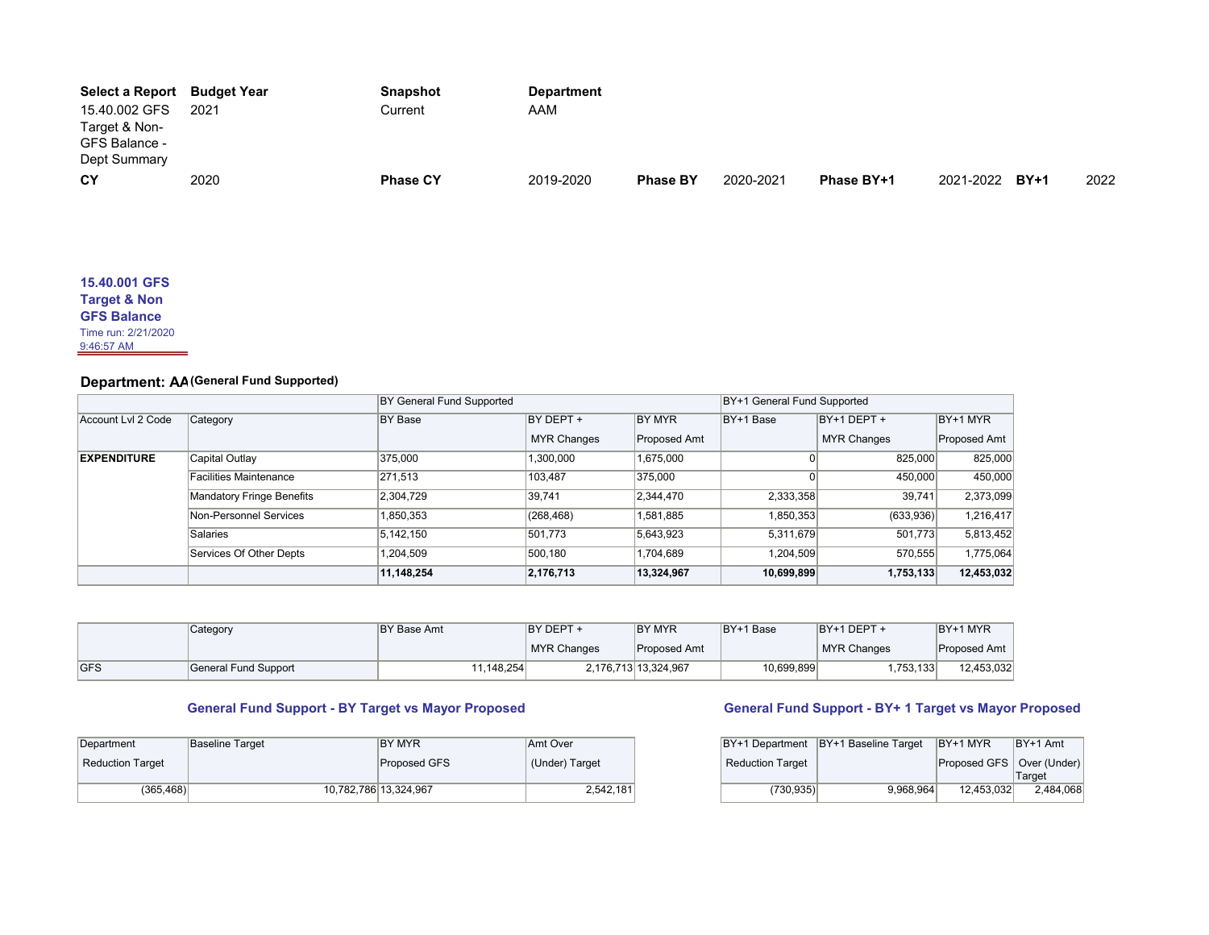| Select a Report | Budget Year | <b>Snapshot</b> | <b>Department</b> |                 |           |            |                |      |
|-----------------|-------------|-----------------|-------------------|-----------------|-----------|------------|----------------|------|
| 15.40.002 GFS   | 2021        | Current         | AAM               |                 |           |            |                |      |
| Target & Non-   |             |                 |                   |                 |           |            |                |      |
| GFS Balance -   |             |                 |                   |                 |           |            |                |      |
| Dept Summary    |             |                 |                   |                 |           |            |                |      |
| <b>CY</b>       | 2020        | <b>Phase CY</b> | 2019-2020         | <b>Phase BY</b> | 2020-2021 | Phase BY+1 | 2021-2022 BY+1 | 2022 |

### **15.40.001 GFS Target & Non**

**GFS Balance**

Time run: 2/21/2020

9:46:57 AM

# **Department: AA (General Fund Supported)**

|                    |                               | BY General Fund Supported |                    | BY+1 General Fund Supported |            |                    |              |
|--------------------|-------------------------------|---------------------------|--------------------|-----------------------------|------------|--------------------|--------------|
| Account Lvl 2 Code | Category                      | <b>BY Base</b>            | BY DEPT +          | BY MYR                      | BY+1 Base  | BY+1 DEPT +        | BY+1 MYR     |
|                    |                               |                           | <b>MYR Changes</b> | Proposed Amt                |            | <b>MYR Changes</b> | Proposed Amt |
| <b>EXPENDITURE</b> | Capital Outlay                | 375.000                   | 1,300,000          | 1,675,000                   |            | 825.000            | 825,000      |
|                    | <b>Facilities Maintenance</b> | 271,513                   | 103,487            | 375,000                     |            | 450,000            | 450,000      |
|                    | Mandatory Fringe Benefits     | 2,304,729                 | 39.741             | 2,344,470                   | 2,333,358  | 39,741             | 2,373,099    |
|                    | Non-Personnel Services        | 1,850,353                 | (268, 468)         | 1,581,885                   | 1,850,353  | (633,936)          | 1,216,417    |
|                    | Salaries                      | 5,142,150                 | 501,773            | 5,643,923                   | 5,311,679  | 501,773            | 5,813,452    |
|                    | Services Of Other Depts       | 1.204.509                 | 500.180            | 1.704.689                   | 1.204.509  | 570.555            | 1,775,064    |
|                    |                               | 11,148,254                | 2,176,713          | 13,324,967                  | 10,699,899 | 1,753,133          | 12,453,032   |

|             | Category             | <b>BY Base Amt</b> | <b>BY MYR</b><br>IBY DEPT + |                      | BY+1 Base  | $BY+1$ DEPT +      | BY+1 MYR            |
|-------------|----------------------|--------------------|-----------------------------|----------------------|------------|--------------------|---------------------|
|             |                      |                    | <b>MYR Changes</b>          | Proposed Amt         |            | <b>MYR Changes</b> | <b>Proposed Amt</b> |
| <b>IGFS</b> | General Fund Support | 11,148,254         |                             | 2.176.713 13.324.967 | 10,699,899 | ,753,133           | 12,453,032          |

# **General Fund Support - BY Target vs Mayor Proposed General Fund Support - BY+ 1 Target vs Mayor Proposed**

| Department       | Baseline Target | IBY MYR               | Amt Over       |                         | BY+1 Department BY+1 Baseline Target BY+1 MYR |                             | $BY+1$ Amt |
|------------------|-----------------|-----------------------|----------------|-------------------------|-----------------------------------------------|-----------------------------|------------|
| Reduction Target |                 | Proposed GFS          | (Under) Target | <b>Reduction Target</b> |                                               | Proposed GFS   Over (Under) |            |
|                  |                 |                       |                |                         |                                               |                             | Target     |
| (365, 468)       |                 | 10,782,786 13,324,967 | 2,542,181      | (730, 935)              | 9,968,964                                     | 12,453,032                  | 2,484,068  |

| BY+1 Department         | BY+1 Baseline Target | BY+1 MYR                    | $BY+1$ Amt |
|-------------------------|----------------------|-----------------------------|------------|
| <b>Reduction Target</b> |                      | Proposed GFS   Over (Under) |            |
|                         |                      |                             | Target     |
| (730, 935)              | 9.968.964            | 12.453.032                  | 2,484,068  |
|                         |                      |                             |            |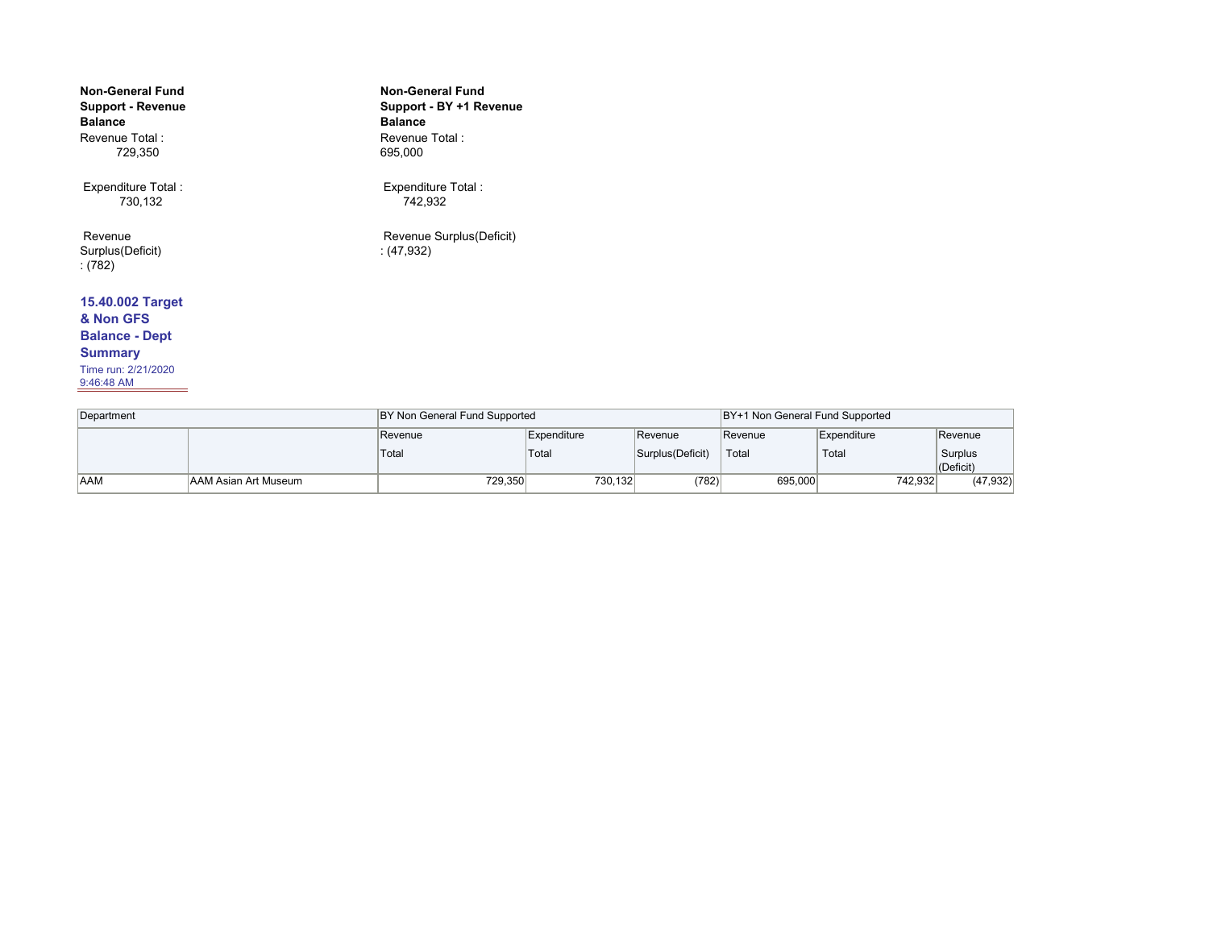| <b>Non-General Fund</b><br>Support - Revenue<br><b>Balance</b> | <b>Non-General Fund</b><br>Support - BY +1 Revenue<br><b>Balance</b> |
|----------------------------------------------------------------|----------------------------------------------------------------------|
| Revenue Total:<br>729,350                                      | Revenue Total:<br>695,000                                            |
| Expenditure Total:<br>730,132                                  | Expenditure Total :<br>742.932                                       |
| Revenue<br>Surplus(Deficit)<br>(782)                           | Revenue Surplus (Deficit)<br>(47, 932)                               |
| 15.40.002 Target                                               |                                                                      |
| & Non GFS                                                      |                                                                      |
| <b>Balance - Dept</b>                                          |                                                                      |
| <b>Summary</b>                                                 |                                                                      |

Time run: 2/21/2020 9:46:48 AM

Revenue **Expenditure** Revenue Revenue Revenue Expenditure Revenue Total Total Surplus(Deficit) Total Total Surplus Surplus<br>  $(Deficit)$ <br>  $(47,932)$ AAM AAM Asian Art Museum 729,350 730,132 (782) 695,000 742,932 Department BY Non General Fund Supported BY-1 Non General Fund Supported BY+1 Non General Fund Supported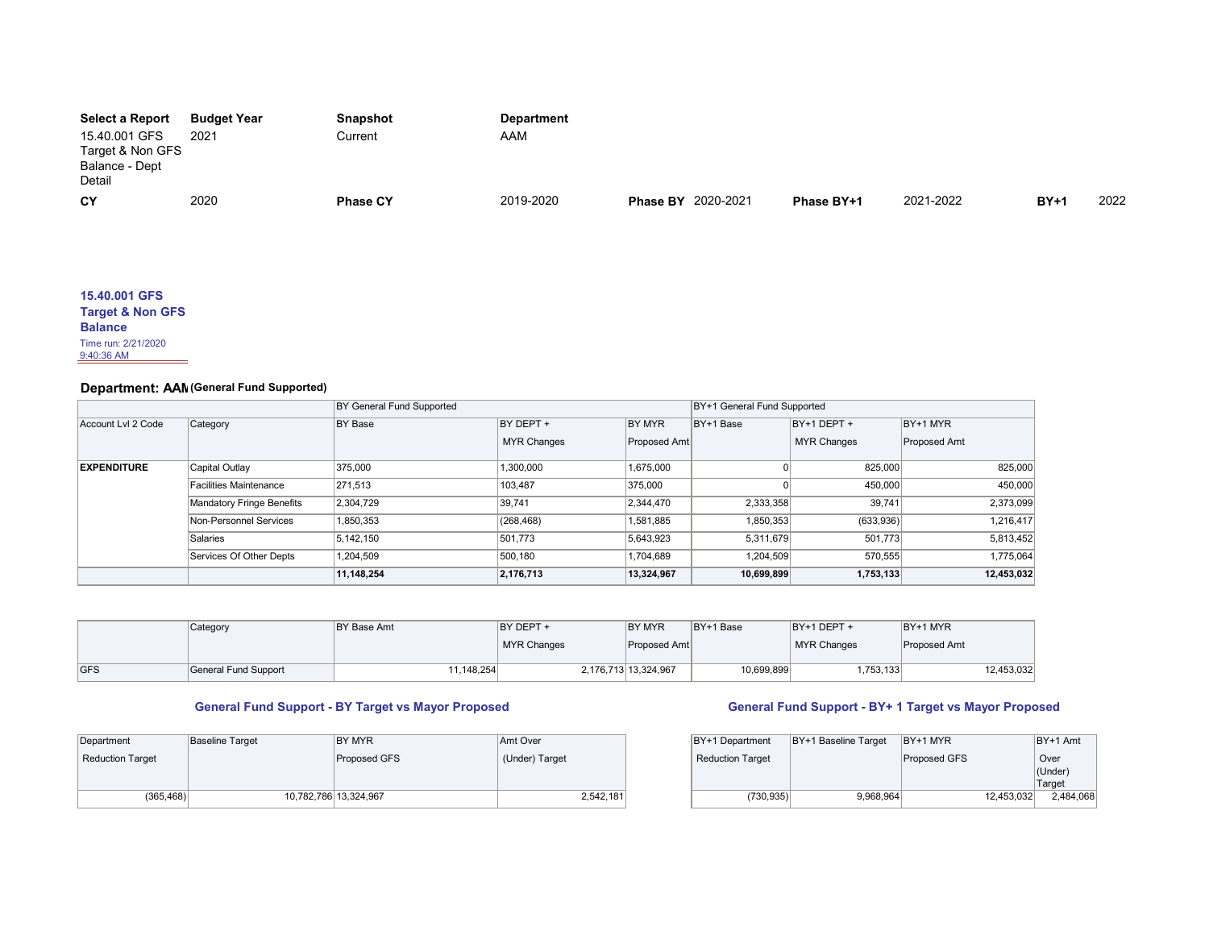| <b>Select a Report</b> | <b>Budget Year</b> | Snapshot        | <b>Department</b> |                           |            |           |        |      |
|------------------------|--------------------|-----------------|-------------------|---------------------------|------------|-----------|--------|------|
| 15.40.001 GFS          | 2021               | Current         | AAM               |                           |            |           |        |      |
| Target & Non GFS       |                    |                 |                   |                           |            |           |        |      |
| Balance - Dept         |                    |                 |                   |                           |            |           |        |      |
| Detail                 |                    |                 |                   |                           |            |           |        |      |
| CY                     | 2020               | <b>Phase CY</b> | 2019-2020         | <b>Phase BY 2020-2021</b> | Phase BY+1 | 2021-2022 | $BY+1$ | 2022 |

| 15.40.001 GFS               |
|-----------------------------|
| <b>Target &amp; Non GFS</b> |
| <b>Balance</b>              |
| Time run: 2/21/2020         |
| $9:40:36$ AM                |

# **Department: AAM (General Fund Supported)**

|                    |                           | BY General Fund Supported | BY+1 General Fund Supported |              |            |                    |              |
|--------------------|---------------------------|---------------------------|-----------------------------|--------------|------------|--------------------|--------------|
| Account LvI 2 Code | Category                  | <b>BY Base</b>            | BY DEPT +                   | BY MYR       | BY+1 Base  | $BY+1$ DEPT +      | BY+1 MYR     |
|                    |                           |                           | <b>MYR Changes</b>          | Proposed Amt |            | <b>MYR Changes</b> | Proposed Amt |
| <b>EXPENDITURE</b> | Capital Outlay            | 375,000                   | 1,300,000                   | 1,675,000    |            | 825,000            | 825,000      |
|                    | Facilities Maintenance    | 271,513                   | 103,487                     | 375,000      |            | 450,000            | 450,000      |
|                    | Mandatory Fringe Benefits | 2,304,729                 | 39.741                      | 2,344,470    | 2,333,358  | 39.741             | 2,373,099    |
|                    | Non-Personnel Services    | 1,850,353                 | (268, 468)                  | 1,581,885    | 1,850,353  | (633,936)          | 1,216,417    |
|                    | Salaries                  | 5.142.150                 | 501,773                     | 5,643,923    | 5,311,679  | 501.773            | 5,813,452    |
|                    | Services Of Other Depts   | 1,204,509                 | 500,180                     | 1,704,689    | 1,204,509  | 570,555            | 1,775,064    |
|                    |                           | 11,148,254                | 2,176,713                   | 13,324,967   | 10,699,899 | 1,753,133          | 12,453,032   |

|            | Category             | BY Base Amt | BY DEPT +   | <b>BY MYR</b>        | BY+1 Base  | BY+1 DEPT +        | BY+1 MYR     |            |
|------------|----------------------|-------------|-------------|----------------------|------------|--------------------|--------------|------------|
|            |                      |             | MYR Changes | Proposed Amt         |            | <b>MYR Changes</b> | Proposed Amt |            |
| <b>GFS</b> | General Fund Support | 11,148,254  |             | 2,176,713 13,324,967 | 10,699,899 | .753.133           |              | 12,453,032 |

| Department       | <b>Baseline Target</b> | BY MYR                | Amt Over       | BY+1 Department         | $ BY+1$ Baseline Target $ BY+1$ MYR |              | $BY+1$ Amt  |
|------------------|------------------------|-----------------------|----------------|-------------------------|-------------------------------------|--------------|-------------|
| Reduction Target |                        | Proposed GFS          | (Under) Target | <b>Reduction Target</b> |                                     | Proposed GFS | Over        |
|                  |                        |                       |                |                         |                                     |              | $ $ (Under) |
|                  |                        |                       |                |                         |                                     |              | Target      |
| (365, 468)       |                        | 10,782,786 13,324,967 | 2,542,181      | (730.935)               | 9.968.964                           | 12.453.032   | 2.484.0     |

## **General Fund Support - BY Target vs Mayor Proposed General Fund Support - BY+ 1 Target vs Mayor Proposed**

| BY+1 Department         | BY+1 Baseline Target | BY+1 MYR     | BY+1 Amt                  |
|-------------------------|----------------------|--------------|---------------------------|
| <b>Reduction Target</b> |                      | Proposed GFS | Over<br>(Under)<br>Target |
| (730, 935)              | 9.968.964            | 12.453.032   | 2,484,068                 |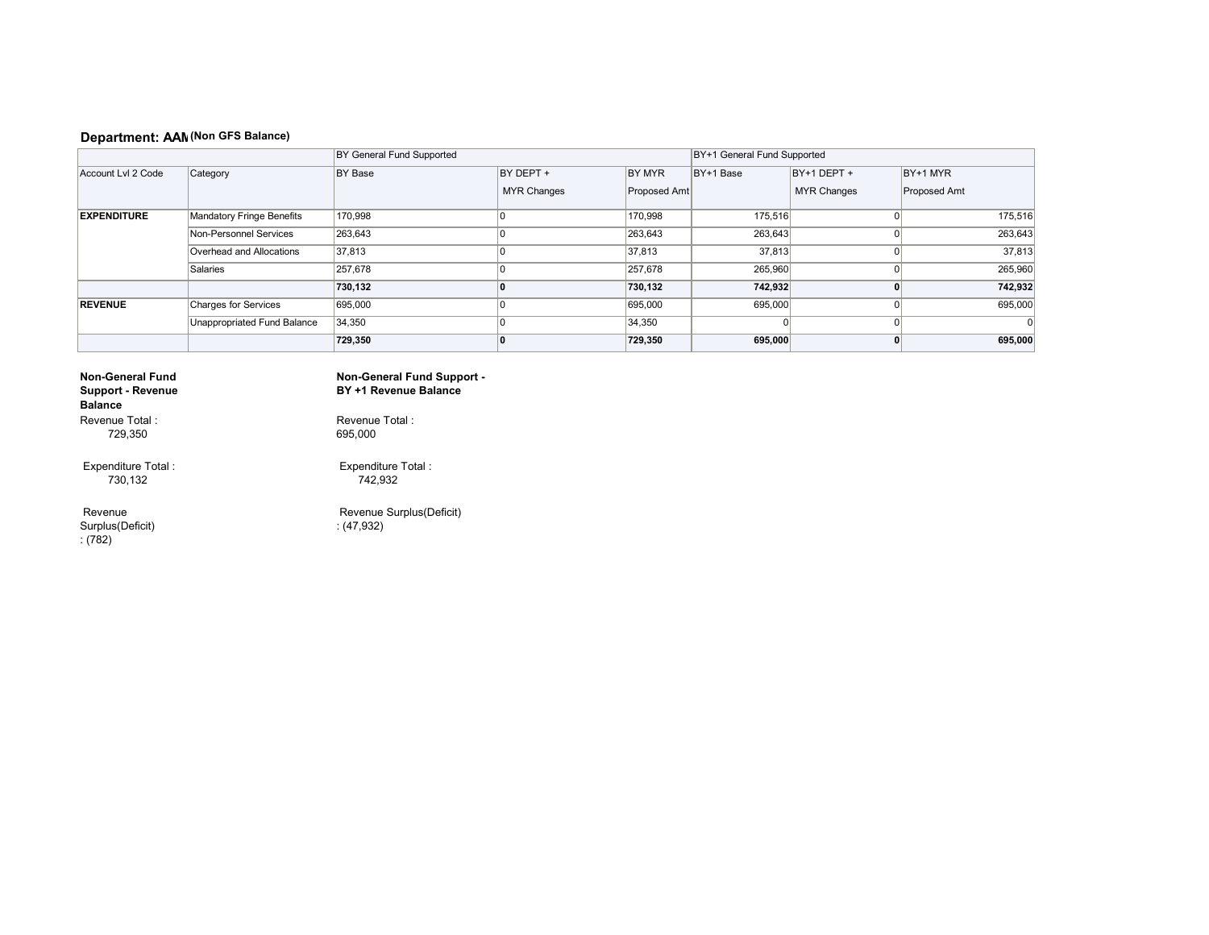### **Department: AAM (Non GFS Balance)**

|                    |                             | BY General Fund Supported | BY+1 General Fund Supported     |                               |           |                                   |                          |
|--------------------|-----------------------------|---------------------------|---------------------------------|-------------------------------|-----------|-----------------------------------|--------------------------|
| Account Lvl 2 Code | Category                    | BY Base                   | BY DEPT +<br><b>MYR Changes</b> | <b>BY MYR</b><br>Proposed Amt | BY+1 Base | BY+1 DEPT +<br><b>MYR Changes</b> | BY+1 MYR<br>Proposed Amt |
| <b>EXPENDITURE</b> | Mandatory Fringe Benefits   | 170,998                   |                                 | 170,998                       | 175,516   |                                   | 175,516                  |
|                    | Non-Personnel Services      | 263,643                   |                                 | 263,643                       | 263,643   |                                   | 263,643                  |
|                    | Overhead and Allocations    | 37,813                    |                                 | 37,813                        | 37,813    | n                                 | 37,813                   |
|                    | Salaries                    | 257,678                   |                                 | 257,678                       | 265,960   | n                                 | 265,960                  |
|                    |                             | 730,132                   |                                 | 730,132                       | 742,932   |                                   | 742,932                  |
| <b>REVENUE</b>     | Charges for Services        | 695,000                   |                                 | 695,000                       | 695,000   | 0                                 | 695,000                  |
|                    | Unappropriated Fund Balance | 34,350                    |                                 | 34,350                        |           | Ω                                 | $\Omega$                 |
|                    |                             | 729,350                   |                                 | 729,350                       | 695,000   | o                                 | 695,000                  |

#### **Non-General Fund Support - Revenue Balance**  Revenue Total :

729,350

 Expenditure Total : 730,132

 Revenue Surplus(Deficit) : (782)

**Non-General Fund Support - BY +1 Revenue Balance** 

Revenue Total : 695,000

 Expenditure Total : 742,932

 Revenue Surplus(Deficit) : (47,932)